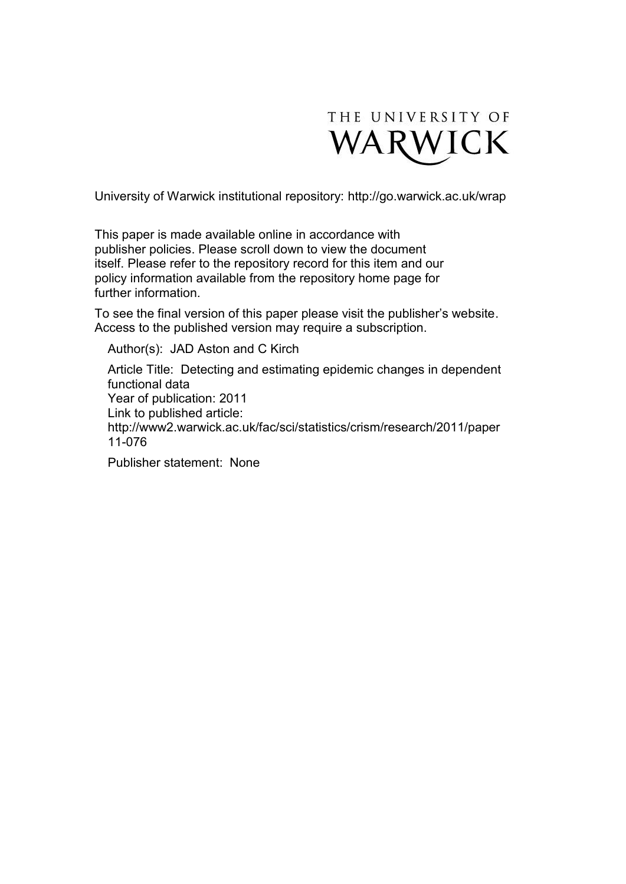

University of Warwick institutional repository:<http://go.warwick.ac.uk/wrap>

This paper is made available online in accordance with publisher policies. Please scroll down to view the document itself. Please refer to the repository record for this item and our policy information available from the repository home page for further information.

To see the final version of this paper please visit the publisher's website. Access to the published version may require a subscription.

Author(s): JAD Aston and C Kirch

Article Title: Detecting and estimating epidemic changes in dependent functional data Year of publication: 2011 Link to published article: http://www2.warwick.ac.uk/fac/sci/statistics/crism/research/2011/paper 11-076

Publisher statement: None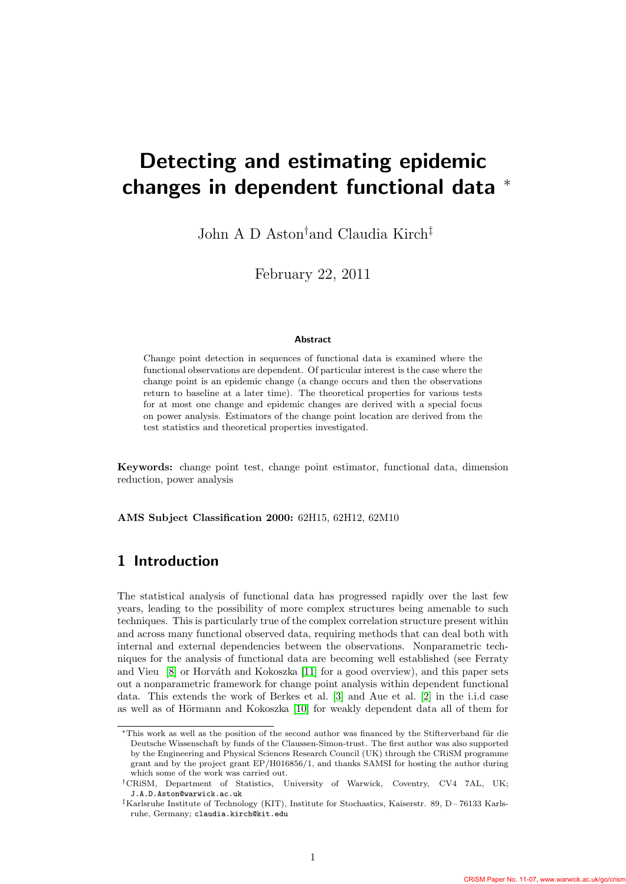# Detecting and estimating epidemic changes in dependent functional data <sup>∗</sup>

John A D Aston†and Claudia Kirch‡

February 22, 2011

#### Abstract

Change point detection in sequences of functional data is examined where the functional observations are dependent. Of particular interest is the case where the change point is an epidemic change (a change occurs and then the observations return to baseline at a later time). The theoretical properties for various tests for at most one change and epidemic changes are derived with a special focus on power analysis. Estimators of the change point location are derived from the test statistics and theoretical properties investigated.

Keywords: change point test, change point estimator, functional data, dimension reduction, power analysis

AMS Subject Classification 2000: 62H15, 62H12, 62M10

# 1 Introduction

The statistical analysis of functional data has progressed rapidly over the last few years, leading to the possibility of more complex structures being amenable to such techniques. This is particularly true of the complex correlation structure present within and across many functional observed data, requiring methods that can deal both with internal and external dependencies between the observations. Nonparametric techniques for the analysis of functional data are becoming well established (see Ferraty and Vieu  $[8]$  or Horváth and Kokoszka  $[11]$  for a good overview), and this paper sets out a nonparametric framework for change point analysis within dependent functional data. This extends the work of Berkes et al. [\[3\]](#page-21-2) and Aue et al. [\[2\]](#page-21-3) in the i.i.d case as well as of Hörmann and Kokoszka  $[10]$  for weakly dependent data all of them for

<sup>\*</sup>This work as well as the position of the second author was financed by the Stifterverband für die Deutsche Wissenschaft by funds of the Claussen-Simon-trust. The first author was also supported by the Engineering and Physical Sciences Research Council (UK) through the CRiSM programme grant and by the project grant EP/H016856/1, and thanks SAMSI for hosting the author during which some of the work was carried out.

<sup>†</sup>CRiSM, Department of Statistics, University of Warwick, Coventry, CV4 7AL, UK; J.A.D.Aston@warwick.ac.uk

<sup>‡</sup>Karlsruhe Institute of Technology (KIT), Institute for Stochastics, Kaiserstr. 89, D – 76133 Karlsruhe, Germany; claudia.kirch@kit.edu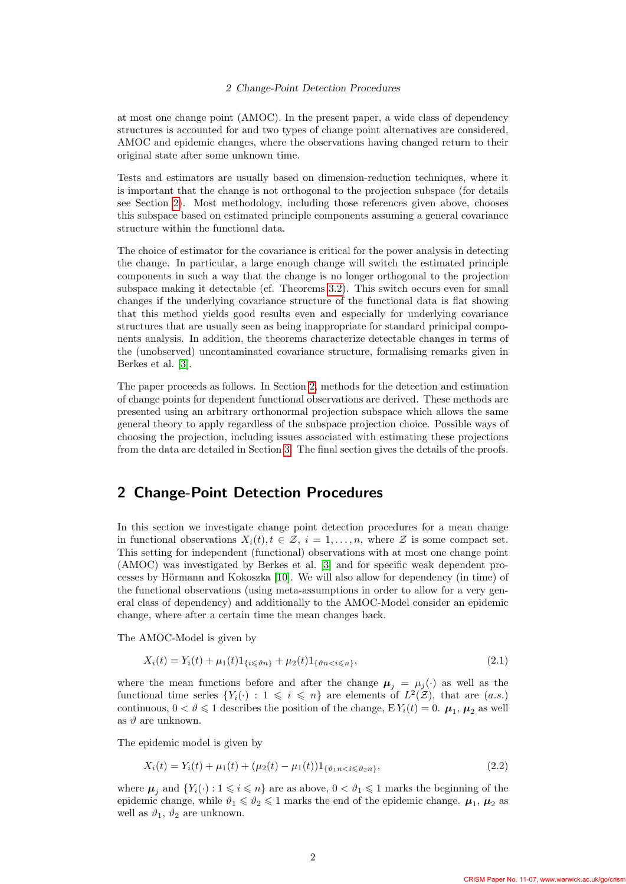at most one change point (AMOC). In the present paper, a wide class of dependency structures is accounted for and two types of change point alternatives are considered, AMOC and epidemic changes, where the observations having changed return to their original state after some unknown time.

Tests and estimators are usually based on dimension-reduction techniques, where it is important that the change is not orthogonal to the projection subspace (for details see Section [2\)](#page-2-0). Most methodology, including those references given above, chooses this subspace based on estimated principle components assuming a general covariance structure within the functional data.

The choice of estimator for the covariance is critical for the power analysis in detecting the change. In particular, a large enough change will switch the estimated principle components in such a way that the change is no longer orthogonal to the projection subspace making it detectable (cf. Theorems [3.2\)](#page-12-0). This switch occurs even for small changes if the underlying covariance structure of the functional data is flat showing that this method yields good results even and especially for underlying covariance structures that are usually seen as being inappropriate for standard prinicipal components analysis. In addition, the theorems characterize detectable changes in terms of the (unobserved) uncontaminated covariance structure, formalising remarks given in Berkes et al. [\[3\]](#page-21-2).

The paper proceeds as follows. In Section [2,](#page-2-0) methods for the detection and estimation of change points for dependent functional observations are derived. These methods are presented using an arbitrary orthonormal projection subspace which allows the same general theory to apply regardless of the subspace projection choice. Possible ways of choosing the projection, including issues associated with estimating these projections from the data are detailed in Section [3.](#page-9-0) The final section gives the details of the proofs.

# <span id="page-2-0"></span>2 Change-Point Detection Procedures

In this section we investigate change point detection procedures for a mean change in functional observations  $X_i(t), t \in \mathcal{Z}, i = 1, \ldots, n$ , where  $\mathcal Z$  is some compact set. This setting for independent (functional) observations with at most one change point (AMOC) was investigated by Berkes et al. [\[3\]](#page-21-2) and for specific weak dependent processes by Hörmann and Kokoszka  $[10]$ . We will also allow for dependency (in time) of the functional observations (using meta-assumptions in order to allow for a very general class of dependency) and additionally to the AMOC-Model consider an epidemic change, where after a certain time the mean changes back.

The AMOC-Model is given by

$$
X_i(t) = Y_i(t) + \mu_1(t)1_{\{i \leq \vartheta n\}} + \mu_2(t)1_{\{\vartheta n < i \leq n\}},\tag{2.1}
$$

where the mean functions before and after the change  $\mu_i = \mu_i(\cdot)$  as well as the functional time series  $\{Y_i(\cdot) : 1 \leqslant i \leqslant n\}$  are elements of  $L^2(\mathcal{Z})$ , that are  $(a.s.)$ continuous,  $0 < \vartheta \leq 1$  describes the position of the change,  $E Y_i(t) = 0$ .  $\mu_1$ ,  $\mu_2$  as well as  $\vartheta$  are unknown.

The epidemic model is given by

$$
X_i(t) = Y_i(t) + \mu_1(t) + (\mu_2(t) - \mu_1(t))1_{\{\vartheta_1 n < i \leq \vartheta_2 n\}},\tag{2.2}
$$

where  $\mu_i$  and  $\{Y_i(\cdot): 1 \leq i \leq n\}$  are as above,  $0 < \vartheta_1 \leq 1$  marks the beginning of the epidemic change, while  $\vartheta_1 \leqslant \vartheta_2 \leqslant 1$  marks the end of the epidemic change.  $\mu_1, \mu_2$  as well as  $\vartheta_1$ ,  $\vartheta_2$  are unknown.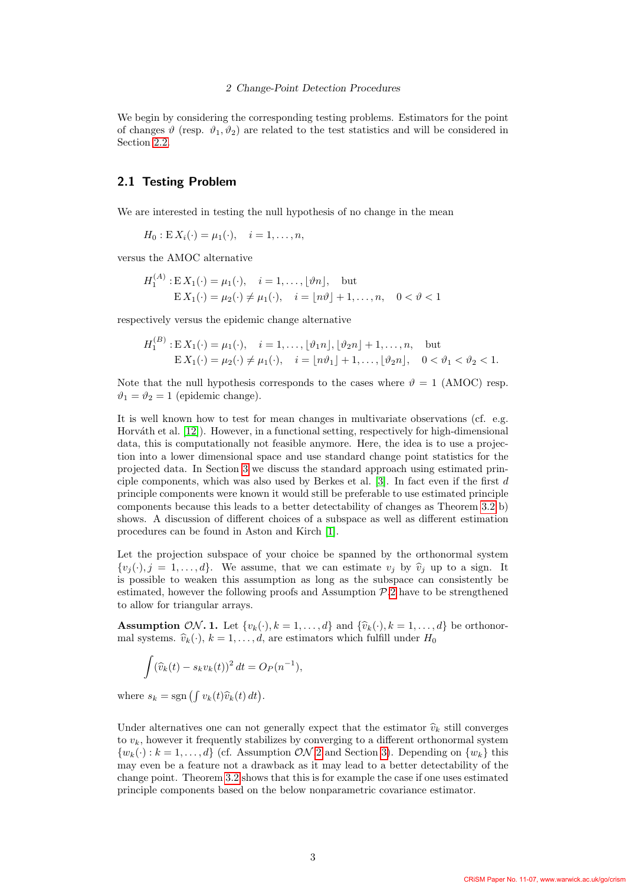We begin by considering the corresponding testing problems. Estimators for the point of changes  $\vartheta$  (resp.  $\vartheta_1, \vartheta_2$ ) are related to the test statistics and will be considered in Section [2.2.](#page-8-0)

### <span id="page-3-1"></span>2.1 Testing Problem

We are interested in testing the null hypothesis of no change in the mean

 $H_0: \mathbb{E} X_i(\cdot) = \mu_1(\cdot), \quad i = 1, \ldots, n,$ 

versus the AMOC alternative

$$
H_1^{(A)}: \mathcal{E} X_1(\cdot) = \mu_1(\cdot), \quad i = 1, \dots, \lfloor \vartheta n \rfloor, \quad \text{but}
$$
  

$$
\mathcal{E} X_1(\cdot) = \mu_2(\cdot) \neq \mu_1(\cdot), \quad i = \lfloor n\vartheta \rfloor + 1, \dots, n, \quad 0 < \vartheta < 1
$$

respectively versus the epidemic change alternative

$$
H_1^{(B)}: \mathcal{E} X_1(\cdot) = \mu_1(\cdot), \quad i = 1, \dots, \lfloor \vartheta_1 n \rfloor, \lfloor \vartheta_2 n \rfloor + 1, \dots, n, \quad \text{but}
$$
  

$$
\mathcal{E} X_1(\cdot) = \mu_2(\cdot) \neq \mu_1(\cdot), \quad i = \lfloor n\vartheta_1 \rfloor + 1, \dots, \lfloor \vartheta_2 n \rfloor, \quad 0 < \vartheta_1 < \vartheta_2 < 1.
$$

Note that the null hypothesis corresponds to the cases where  $\vartheta = 1$  (AMOC) resp.  $\vartheta_1 = \vartheta_2 = 1$  (epidemic change).

It is well known how to test for mean changes in multivariate observations (cf. e.g. Horváth et al.  $[12]$ ). However, in a functional setting, respectively for high-dimensional data, this is computationally not feasible anymore. Here, the idea is to use a projection into a lower dimensional space and use standard change point statistics for the projected data. In Section [3](#page-9-0) we discuss the standard approach using estimated principle components, which was also used by Berkes et al.  $[3]$ . In fact even if the first d principle components were known it would still be preferable to use estimated principle components because this leads to a better detectability of changes as Theorem [3.2](#page-12-0) b) shows. A discussion of different choices of a subspace as well as different estimation procedures can be found in Aston and Kirch [\[1\]](#page-21-6).

Let the projection subspace of your choice be spanned by the orthonormal system  $\{v_i(\cdot), j = 1, \ldots, d\}$ . We assume, that we can estimate  $v_i$  by  $\hat{v}_i$  up to a sign. It is possible to weaken this assumption as long as the subspace can consistently be estimated, however the following proofs and Assumption  $P.2$  $P.2$  have to be strengthened to allow for triangular arrays.

<span id="page-3-0"></span>**Assumption** ON. 1. Let  $\{v_k(\cdot), k = 1, \ldots, d\}$  and  $\{\hat{v}_k(\cdot), k = 1, \ldots, d\}$  be orthonormal systems.  $\hat{v}_k(\cdot)$ ,  $k = 1, \ldots, d$ , are estimators which fulfill under  $H_0$ 

$$
\int (\widehat{v}_k(t) - s_k v_k(t))^2 dt = O_P(n^{-1}),
$$

where  $s_k = \text{sgn} \left( \int v_k(t) \widehat{v}_k(t) dt \right)$ .

Under alternatives one can not generally expect that the estimator  $\hat{v}_k$  still converges to  $v_k$ , however it frequently stabilizes by converging to a different orthonormal system  $\{w_k(\cdot): k = 1, \ldots, d\}$  (cf. Assumption  $\mathcal{ON}.\mathbb{2}$  and Section [3\)](#page-9-0). Depending on  $\{w_k\}$  this may even be a feature not a drawback as it may lead to a better detectability of the change point. Theorem [3.2](#page-12-0) shows that this is for example the case if one uses estimated principle components based on the below nonparametric covariance estimator.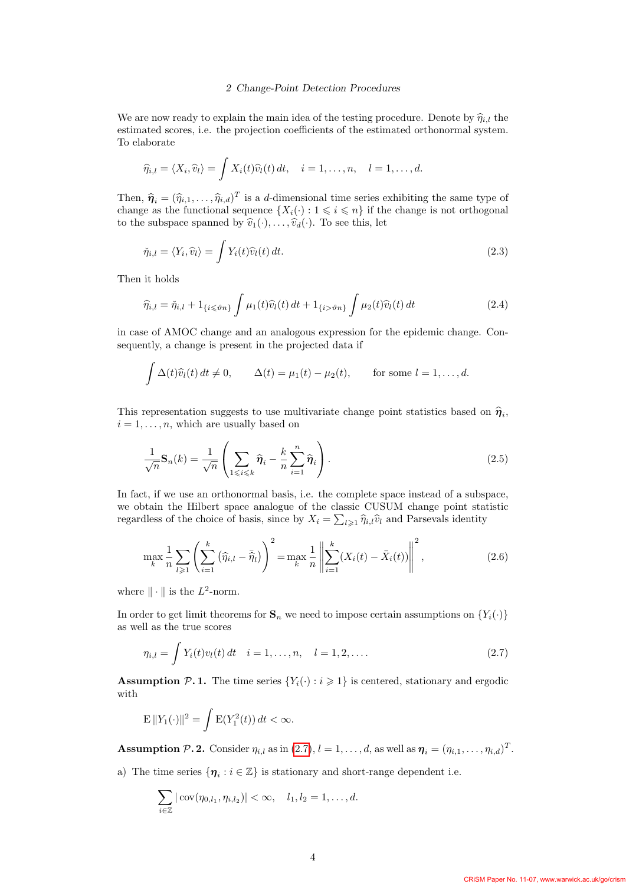We are now ready to explain the main idea of the testing procedure. Denote by  $\hat{\eta}_{i,l}$  the estimated scores, i.e. the projection coefficients of the estimated orthonormal system. To elaborate

$$
\widehat{\eta}_{i,l} = \langle X_i, \widehat{v}_l \rangle = \int X_i(t)\widehat{v}_l(t) dt, \quad i = 1, \dots, n, \quad l = 1, \dots, d.
$$

Then,  $\hat{\eta}_i = (\hat{\eta}_{i,1}, \dots, \hat{\eta}_{i,d})^T$  is a d-dimensional time series exhibiting the same type of change as the functional sequence  $\{X_i(\cdot): 1 \leq i \leq n\}$  if the change is not orthogonal change as the functional sequence  $\{X_i(\cdot): 1 \leq i \leq n\}$  if the change is not orthogonal to the subspace spanned by  $\widehat{v}_1(\cdot), \ldots, \widehat{v}_d(\cdot)$ . To see this, let

<span id="page-4-4"></span>
$$
\check{\eta}_{i,l} = \langle Y_i, \hat{v}_l \rangle = \int Y_i(t)\hat{v}_l(t) dt.
$$
\n(2.3)

Then it holds

<span id="page-4-3"></span>
$$
\widehat{\eta}_{i,l} = \check{\eta}_{i,l} + 1_{\{i \leq \vartheta n\}} \int \mu_1(t)\widehat{\nu}_l(t) dt + 1_{\{i > \vartheta n\}} \int \mu_2(t)\widehat{\nu}_l(t) dt \tag{2.4}
$$

in case of AMOC change and an analogous expression for the epidemic change. Consequently, a change is present in the projected data if

$$
\int \Delta(t)\widehat{v}_l(t) dt \neq 0, \qquad \Delta(t) = \mu_1(t) - \mu_2(t), \qquad \text{for some } l = 1, \dots, d.
$$

This representation suggests to use multivariate change point statistics based on  $\hat{\eta}_i$ ,  $i = 1, \ldots, n$ , which are usually based on  $i = 1, \ldots, n$ , which are usually based on

$$
\frac{1}{\sqrt{n}}\mathbf{S}_n(k) = \frac{1}{\sqrt{n}}\left(\sum_{1\leqslant i\leqslant k}\widehat{\boldsymbol{\eta}}_i - \frac{k}{n}\sum_{i=1}^n\widehat{\boldsymbol{\eta}}_i\right).
$$
\n(2.5)

In fact, if we use an orthonormal basis, i.e. the complete space instead of a subspace, we obtain the Hilbert space analogue of the classic CUSUM change point statistic regardless of the choice of basis, since by  $X_i = \sum_{l \geq 1} \hat{\eta}_{i,l} \hat{v}_l$  and Parsevals identity

$$
\max_{k} \frac{1}{n} \sum_{l \geq 1} \left( \sum_{i=1}^{k} \left( \widehat{\eta}_{i,l} - \overline{\widehat{\eta}}_{l} \right) \right)^2 = \max_{k} \frac{1}{n} \left\| \sum_{i=1}^{k} (X_i(t) - \overline{X}_i(t)) \right\|^2,
$$
\n(2.6)

where  $\|\cdot\|$  is the  $L^2$ -norm.

In order to get limit theorems for  $\mathbf{S}_n$  we need to impose certain assumptions on  $\{Y_i(\cdot)\}$ as well as the true scores

<span id="page-4-1"></span>
$$
\eta_{i,l} = \int Y_i(t)v_l(t) dt \quad i = 1, \dots, n, \quad l = 1, 2, \dots
$$
\n(2.7)

<span id="page-4-2"></span>**Assumption P.1.** The time series  $\{Y_i(\cdot): i \geq 1\}$  is centered, stationary and ergodic with

$$
\mathbb{E} \|Y_1(\cdot)\|^2 = \int \mathbb{E}(Y_1^2(t)) dt < \infty.
$$

<span id="page-4-0"></span>**Assumption P. 2.** Consider  $\eta_{i,l}$  as in  $(2.7), l = 1, \ldots, d$ , as well as  $\eta_i = (\eta_{i,1}, \ldots, \eta_{i,d})^T$ .

a) The time series  $\{\eta_i : i \in \mathbb{Z}\}$  is stationary and short-range dependent i.e.

$$
\sum_{i\in\mathbb{Z}}|\operatorname{cov}(\eta_{0,l_1},\eta_{i,l_2})|<\infty,\quad l_1,l_2=1,\ldots,d.
$$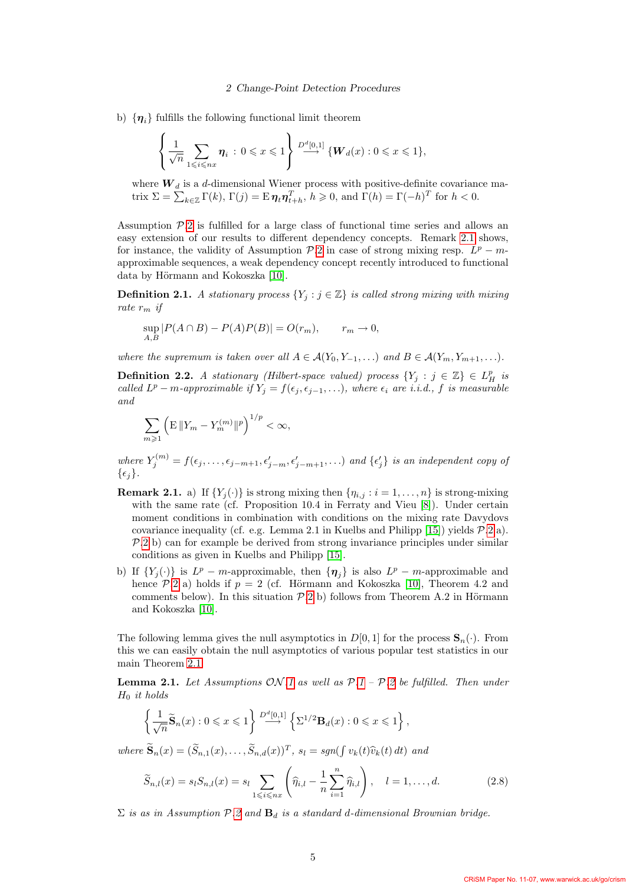b)  $\{\boldsymbol{\eta}_i\}$  fulfills the following functional limit theorem

$$
\left\{\frac{1}{\sqrt{n}}\sum_{1\leqslant i\leqslant nx}\boldsymbol{\eta}_i: 0\leqslant x\leqslant 1\right\}\stackrel{D^d[0,1]}{\longrightarrow}\{\boldsymbol{W}_d(x): 0\leqslant x\leqslant 1\},\
$$

where 
$$
W_d
$$
 is a d-dimensional Wiener process with positive-definite covariance matrix  $\Sigma = \sum_{k \in \mathbb{Z}} \Gamma(k)$ ,  $\Gamma(j) = \mathbb{E} \eta_t \eta_{t+h}^T$ ,  $h \ge 0$ , and  $\Gamma(h) = \Gamma(-h)^T$  for  $h < 0$ .

Assumption  $P.2$  $P.2$  is fulfilled for a large class of functional time series and allows an easy extension of our results to different dependency concepts. Remark [2.1](#page-5-0) shows, for instance, the validity of Assumption  $P.2$  $P.2$  in case of strong mixing resp.  $L^p - m$ approximable sequences, a weak dependency concept recently introduced to functional data by Hörmann and Kokoszka [\[10\]](#page-21-4).

**Definition 2.1.** A stationary process  $\{Y_i : j \in \mathbb{Z}\}\)$  is called strong mixing with mixing rate  $r_m$  if

$$
\sup_{A,B}|P(A \cap B) - P(A)P(B)| = O(r_m), \qquad r_m \to 0,
$$

where the supremum is taken over all  $A \in \mathcal{A}(Y_0, Y_{-1}, \ldots)$  and  $B \in \mathcal{A}(Y_m, Y_{m+1}, \ldots)$ .

**Definition 2.2.** A stationary (Hilbert-space valued) process  $\{Y_j : j \in \mathbb{Z}\}\in L_H^p$  is called  $L^p - m$ -approximable if  $Y_j = f(\epsilon_j, \epsilon_{j-1}, \ldots)$ , where  $\epsilon_i$  are i.i.d., f is measurable and

$$
\sum_{m\geqslant 1} \left( \mathbf{E} \left\| Y_m - Y_m^{(m)} \right\|^p \right)^{1/p} < \infty,
$$

where  $Y_j^{(m)} = f(\epsilon_j, \ldots, \epsilon_{j-m+1}, \epsilon'_{j-m}, \epsilon'_{j-m+1}, \ldots)$  and  $\{\epsilon'_j\}$  is an independent copy of  $\{\epsilon_j\}.$ 

- <span id="page-5-0"></span>**Remark 2.1.** a) If  $\{Y_j(\cdot)\}\$ is strong mixing then  $\{\eta_{i,j} : i = 1, \ldots, n\}$  is strong-mixing with the same rate (cf. Proposition 10.4 in Ferraty and Vieu [\[8\]](#page-21-0)). Under certain moment conditions in combination with conditions on the mixing rate Davydovs covariance inequality (cf. e.g. Lemma 2.1 in Kuelbs and Philipp [\[15\]](#page-21-7)) yields  $\mathcal{P}.2$  $\mathcal{P}.2$  a).  $P.2$  $P.2$  b) can for example be derived from strong invariance principles under similar conditions as given in Kuelbs and Philipp [\[15\]](#page-21-7).
- b) If  $\{Y_j(\cdot)\}\$ is  $L^p m$ -approximable, then  $\{\boldsymbol{\eta}_j\}$  is also  $L^p m$ -approximable and hence  $P.2$  $P.2$  a) holds if  $p = 2$  (cf. Hörmann and Kokoszka [\[10\]](#page-21-4), Theorem 4.2 and comments below). In this situation  $P.2$  $P.2$  b) follows from Theorem A.2 in Hörmann and Kokoszka [\[10\]](#page-21-4).

The following lemma gives the null asymptotics in  $D[0, 1]$  for the process  $\mathbf{S}_n(\cdot)$ . From this we can easily obtain the null asymptotics of various popular test statistics in our main Theorem [2.1.](#page-6-0)

<span id="page-5-1"></span>**Lemma 2[.1](#page-4-2).** Let Assumptions  $ON.1$  as well as  $P.1 - P.2$  $P.1 - P.2$  be fulfilled. Then under  $H_0$  it holds

$$
\left\{\frac{1}{\sqrt{n}}\widetilde{\mathbf{S}}_n(x):0\leqslant x\leqslant 1\right\}\stackrel{D^d[0,1]}{\longrightarrow}\left\{\Sigma^{1/2}\mathbf{B}_d(x):0\leqslant x\leqslant 1\right\},\right
$$

where  $\widetilde{\mathbf{S}}_n(x) = (\widetilde{S}_{n,1}(x), \ldots, \widetilde{S}_{n,d}(x))^T$ ,  $s_l = sgn(\int v_k(t)\widehat{v}_k(t) dt)$  and

$$
\widetilde{S}_{n,l}(x) = s_l S_{n,l}(x) = s_l \sum_{1 \leq i \leq n} \left( \widehat{\eta}_{i,l} - \frac{1}{n} \sum_{i=1}^n \widehat{\eta}_{i,l} \right), \quad l = 1, \dots, d. \tag{2.8}
$$

 $\Sigma$  is as in Assumption P[.2](#page-4-0) and  $\mathbf{B}_d$  is a standard d-dimensional Brownian bridge.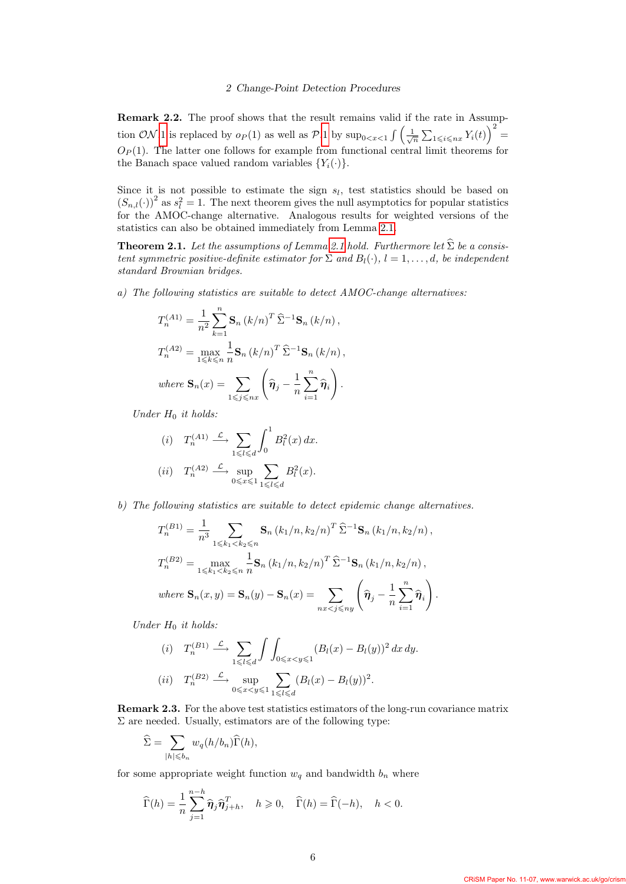Remark 2.2. The proof shows that the result remains valid if the rate in Assump-tion ON[.1](#page-4-2) is replaced by  $o_P(1)$  as well as P.1 by  $\sup_{0 \le x \le 1} \int \left( \frac{1}{\sqrt{n}} \sum_{1 \le i \le nx} Y_i(t) \right)^2$  $O_P(1)$ . The latter one follows for example from functional central limit theorems for the Banach space valued random variables  $\{Y_i(\cdot)\}.$ 

Since it is not possible to estimate the sign  $s_l$ , test statistics should be based on  $(S_{n,l}(\cdot))^2$  as  $s_l^2 = 1$ . The next theorem gives the null asymptotics for popular statistics for the AMOC-change alternative. Analogous results for weighted versions of the statistics can also be obtained immediately from Lemma [2.1.](#page-5-1)

<span id="page-6-0"></span>**Theorem [2.1](#page-5-1).** Let the assumptions of Lemma 2.1 hold. Furthermore let  $\hat{\Sigma}$  be a consistent symmetric positive-definite estimator for  $\Sigma$  and  $B_l(\cdot), l = 1, \ldots, d$ , be independent standard Brownian bridges.

a) The following statistics are suitable to detect AMOC-change alternatives:

$$
T_n^{(A1)} = \frac{1}{n^2} \sum_{k=1}^n \mathbf{S}_n (k/n)^T \widehat{\Sigma}^{-1} \mathbf{S}_n (k/n),
$$
  
\n
$$
T_n^{(A2)} = \max_{1 \le k \le n} \frac{1}{n} \mathbf{S}_n (k/n)^T \widehat{\Sigma}^{-1} \mathbf{S}_n (k/n),
$$
  
\nwhere  $\mathbf{S}_n(x) = \sum_{1 \le j \le nx} \left( \widehat{\boldsymbol{\eta}}_j - \frac{1}{n} \sum_{i=1}^n \widehat{\boldsymbol{\eta}}_i \right).$ 

Under  $H_0$  it holds:

$$
(i) \quad T_n^{(A1)} \xrightarrow{\mathcal{L}} \sum_{1 \leq l \leq d} \int_0^1 B_l^2(x) \, dx.
$$

$$
(ii) \quad T_n^{(A2)} \xrightarrow{\mathcal{L}} \sup_{0 \leq x \leq 1} \sum_{1 \leq l \leq d} B_l^2(x).
$$

b) The following statistics are suitable to detect epidemic change alternatives.

$$
T_n^{(B1)} = \frac{1}{n^3} \sum_{1 \le k_1 < k_2 \le n} \mathbf{S}_n (k_1/n, k_2/n)^T \hat{\Sigma}^{-1} \mathbf{S}_n (k_1/n, k_2/n),
$$
\n
$$
T_n^{(B2)} = \max_{1 \le k_1 < k_2 \le n} \frac{1}{n} \mathbf{S}_n (k_1/n, k_2/n)^T \hat{\Sigma}^{-1} \mathbf{S}_n (k_1/n, k_2/n),
$$
\nwhere  $\mathbf{S}_n(x, y) = \mathbf{S}_n(y) - \mathbf{S}_n(x) = \sum_{nx < j \le ny} \left( \hat{\mathbf{\eta}}_j - \frac{1}{n} \sum_{i=1}^n \hat{\mathbf{\eta}}_i \right).$ 

Under  $H_0$  it holds:

$$
(i) \quad T_n^{(B1)} \xrightarrow{\mathcal{L}} \sum_{1 \leq l \leq d} \int \int_{0 \leq x < y \leq 1} (B_l(x) - B_l(y))^2 \, dx \, dy.
$$
\n
$$
(ii) \quad T_n^{(B2)} \xrightarrow{\mathcal{L}} \sup_{0 \leq x < y \leq 1} \sum_{1 \leq l \leq d} (B_l(x) - B_l(y))^2.
$$

Remark 2.3. For the above test statistics estimators of the long-run covariance matrix  $\Sigma$  are needed. Usually, estimators are of the following type:

$$
\widehat{\Sigma} = \sum_{|h| \leqslant b_n} w_q(h/b_n) \widehat{\Gamma}(h),
$$

for some appropriate weight function  $w_q$  and bandwidth  $b_n$  where

$$
\widehat{\Gamma}(h) = \frac{1}{n} \sum_{j=1}^{n-h} \widehat{\eta}_j \widehat{\eta}_{j+h}^T, \quad h \ge 0, \quad \widehat{\Gamma}(h) = \widehat{\Gamma}(-h), \quad h < 0.
$$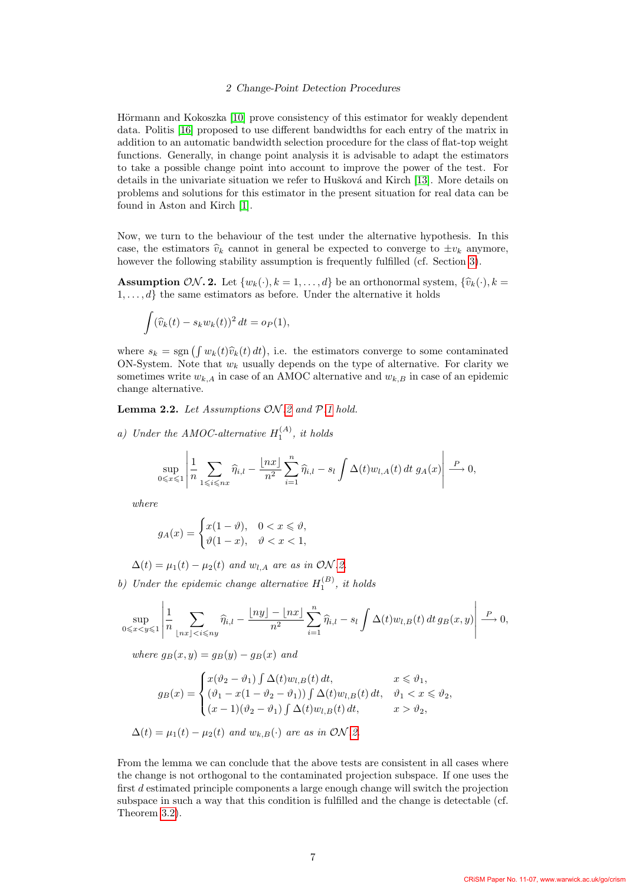Hörmann and Kokoszka [\[10\]](#page-21-4) prove consistency of this estimator for weakly dependent data. Politis [\[16\]](#page-21-8) proposed to use different bandwidths for each entry of the matrix in addition to an automatic bandwidth selection procedure for the class of flat-top weight functions. Generally, in change point analysis it is advisable to adapt the estimators to take a possible change point into account to improve the power of the test. For details in the univariate situation we refer to Hušková and Kirch [\[13\]](#page-21-9). More details on problems and solutions for this estimator in the present situation for real data can be found in Aston and Kirch [\[1\]](#page-21-6).

Now, we turn to the behaviour of the test under the alternative hypothesis. In this case, the estimators  $\hat{v}_k$  cannot in general be expected to converge to  $\pm v_k$  anymore, however the following stability assumption is frequently fulfilled (cf. Section [3\)](#page-9-0).

<span id="page-7-0"></span>**Assumption ON. 2.** Let  $\{w_k(\cdot), k = 1, \ldots, d\}$  be an orthonormal system,  $\{\widehat{v}_k(\cdot), k = 1, \ldots, d\}$  $1, \ldots, d$  the same estimators as before. Under the alternative it holds

$$
\int (\widehat{v}_k(t) - s_k w_k(t))^2 dt = o_P(1),
$$

where  $s_k = \text{sgn}(\int w_k(t)\widehat{v}_k(t) dt)$ , i.e. the estimators converge to some contaminated<br>ON System. Note that  $w_k$  usually dopends on the type of alternative. For clarity we ON-System. Note that  $w_k$  usually depends on the type of alternative. For clarity we sometimes write  $w_{k,A}$  in case of an AMOC alternative and  $w_{k,B}$  in case of an epidemic change alternative.

<span id="page-7-1"></span>Lemma 2[.2](#page-7-0). Let Assumptions ON .2 and P[.1](#page-4-2) hold.

a) Under the AMOC-alternative  $H_1^{(A)}$ , it holds

$$
\sup_{0\leqslant x\leqslant 1}\left|\frac{1}{n}\sum_{1\leqslant i\leqslant nx}\widehat{\eta}_{i,l}-\frac{\lfloor nx\rfloor}{n^2}\sum_{i=1}^n\widehat{\eta}_{i,l}-s_l\int\Delta(t)w_{l,A}(t)\,dt\;g_A(x)\right|\stackrel{P}{\longrightarrow}0,
$$

where

$$
g_A(x) = \begin{cases} x(1 - \vartheta), & 0 < x \leq \vartheta, \\ \vartheta(1 - x), & \vartheta < x < 1, \end{cases}
$$

 $\Delta(t) = \mu_1(t) - \mu_2(t)$  and  $w_{l,A}$  are as in  $\mathcal{ON}.2$ .

b) Under the epidemic change alternative  $H_1^{(B)}$ , it holds

$$
\sup_{0 \leqslant x < y \leqslant 1} \left| \frac{1}{n} \sum_{\lfloor nx \rfloor < i \leqslant ny} \widehat{\eta}_{i,l} - \frac{\lfloor ny \rfloor - \lfloor nx \rfloor}{n^2} \sum_{i=1}^n \widehat{\eta}_{i,l} - s_l \int \Delta(t) w_{l,B}(t) \, dt \, g_B(x,y) \right| \xrightarrow{P} 0,
$$

where  $g_B(x, y) = g_B(y) - g_B(x)$  and

$$
g_B(x) = \begin{cases} x(\vartheta_2 - \vartheta_1) \int \Delta(t) w_{l,B}(t) dt, & x \leq \vartheta_1, \\ (\vartheta_1 - x(1 - \vartheta_2 - \vartheta_1)) \int \Delta(t) w_{l,B}(t) dt, & \vartheta_1 < x \leq \vartheta_2, \\ (x - 1)(\vartheta_2 - \vartheta_1) \int \Delta(t) w_{l,B}(t) dt, & x > \vartheta_2, \end{cases}
$$

$$
\Delta(t) = \mu_1(t) - \mu_2(t)
$$
 and  $w_{k,B}(\cdot)$  are as in  $\mathcal{ON}.\mathcal{Z}$ .

<span id="page-7-2"></span>From the lemma we can conclude that the above tests are consistent in all cases where the change is not orthogonal to the contaminated projection subspace. If one uses the first d estimated principle components a large enough change will switch the projection subspace in such a way that this condition is fulfilled and the change is detectable (cf. Theorem [3.2\)](#page-12-0).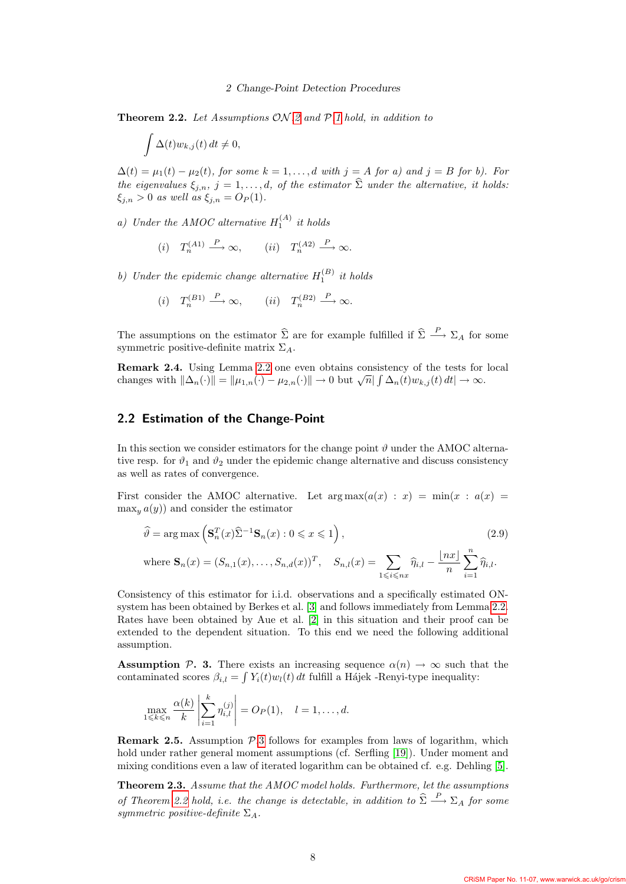Theorem 2.2. Let Assumptions ON [.2](#page-7-0) and P[.1](#page-4-2) hold, in addition to

$$
\int \Delta(t) w_{k,j}(t) dt \neq 0,
$$

 $\Delta(t) = \mu_1(t) - \mu_2(t)$ , for some  $k = 1, ..., d$  with  $j = A$  for a) and  $j = B$  for b). For the eigenvalues  $\xi_{j,n}$ ,  $j = 1, \ldots, d$ , of the estimator  $\widehat{\Sigma}$  under the alternative, it holds:  $\xi_{j,n} > 0$  as well as  $\xi_{j,n} = O_P(1)$ .

a) Under the AMOC alternative  $H_1^{(A)}$  it holds

$$
(i) \quad T_n^{(A1)} \xrightarrow{P} \infty, \qquad (ii) \quad T_n^{(A2)} \xrightarrow{P} \infty.
$$

b) Under the epidemic change alternative  $H_1^{(B)}$  it holds

$$
(i) \quad T_n^{(B1)} \stackrel{P}{\longrightarrow} \infty, \qquad (ii) \quad T_n^{(B2)} \stackrel{P}{\longrightarrow} \infty.
$$

The assumptions on the estimator  $\hat{\Sigma}$  are for example fulfilled if  $\hat{\Sigma} \stackrel{P}{\longrightarrow} \Sigma_A$  for some symmetric positive-definite matrix  $\Sigma_A$ .

Remark 2.4. Using Lemma [2.2](#page-7-1) one even obtains consistency of the tests for local **CONDUCTERT ALLACTED** EXECUTE EXAMPLED THE REFLEXION CHANGES WITH  $\left\| \Delta_n(\cdot) \right\| = \| \mu_{1,n}(\cdot) - \mu_{2,n}(\cdot) \| \to 0$  but  $\sqrt{n} |\int \Delta_n(t) w_{k,j}(t) dt | \to \infty$ .

## <span id="page-8-0"></span>2.2 Estimation of the Change-Point

In this section we consider estimators for the change point  $\vartheta$  under the AMOC alternative resp. for  $\vartheta_1$  and  $\vartheta_2$  under the epidemic change alternative and discuss consistency as well as rates of convergence.

First consider the AMOC alternative. Let  $arg max(a(x) : x) = min(x : a(x) =$  $\max_{y} a(y)$  and consider the estimator

$$
\hat{\vartheta} = \arg \max \left( \mathbf{S}_n^T(x) \hat{\Sigma}^{-1} \mathbf{S}_n(x) : 0 \leq x \leq 1 \right),
$$
\n
$$
\text{where } \mathbf{S}_n(x) = (S_{n,1}(x), \dots, S_{n,d}(x))^T, \quad S_{n,l}(x) = \sum_{1 \leq i \leq n} \hat{\eta}_{i,l} - \frac{\lfloor nx \rfloor}{n} \sum_{i=1}^n \hat{\eta}_{i,l}.
$$
\n(2.9)

Consistency of this estimator for i.i.d. observations and a specifically estimated ONsystem has been obtained by Berkes et al. [\[3\]](#page-21-2) and follows immediately from Lemma [2.2.](#page-7-1) Rates have been obtained by Aue et al. [\[2\]](#page-21-3) in this situation and their proof can be extended to the dependent situation. To this end we need the following additional assumption.

<span id="page-8-1"></span>**Assumption P. 3.** There exists an increasing sequence  $\alpha(n) \to \infty$  such that the contaminated scores  $\beta_{i,l} = \int Y_i(t)w_l(t) dt$  fulfill a Hájek -Renyi-type inequality:

$$
\max_{1 \leq k \leq n} \frac{\alpha(k)}{k} \left| \sum_{i=1}^k \eta_{i,l}^{(j)} \right| = O_P(1), \quad l = 1, \dots, d.
$$

**Remark 2.5.** Assumption  $P.3$  $P.3$  follows for examples from laws of logarithm, which hold under rather general moment assumptions (cf. Serfling [\[19\]](#page-21-10)). Under moment and mixing conditions even a law of iterated logarithm can be obtained cf. e.g. Dehling [\[5\]](#page-21-11).

<span id="page-8-2"></span>Theorem 2.3. Assume that the AMOC model holds. Furthermore, let the assumptions of Theorem [2.2](#page-7-2) hold, i.e. the change is detectable, in addition to  $\hat{\Sigma} \stackrel{P}{\longrightarrow} \Sigma_A$  for some symmetric positive-definite  $\Sigma_A$ .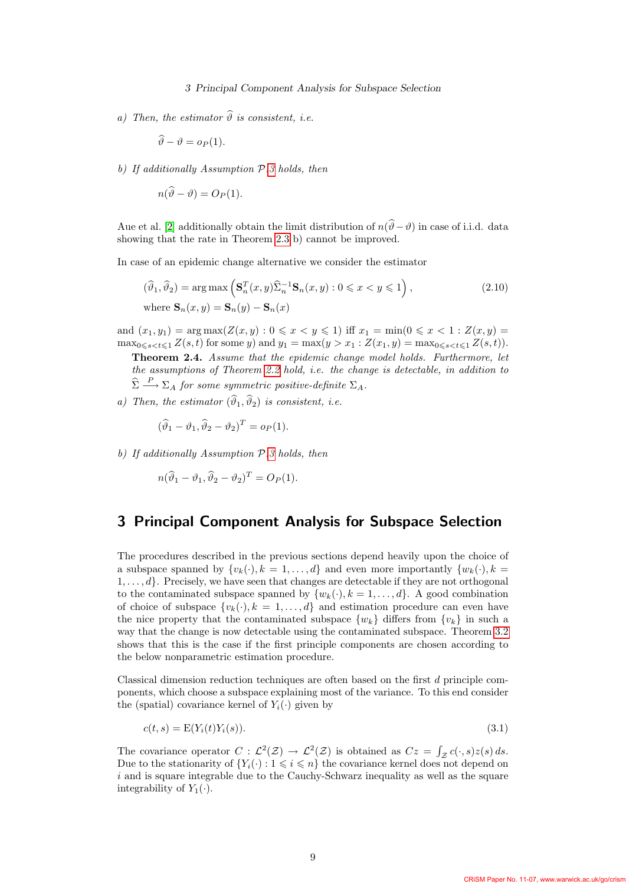a) Then, the estimator  $\widehat{\vartheta}$  is consistent, i.e.

$$
\widehat{\vartheta} - \vartheta = o_P(1).
$$

b) If additionally Assumption P[.3](#page-8-1) holds, then

$$
n(\widehat{\vartheta}-\vartheta)=O_P(1).
$$

Aue et al. [\[2\]](#page-21-3) additionally obtain the limit distribution of  $n(\hat{\theta}-\theta)$  in case of i.i.d. data showing that the rate in Theorem [2.3](#page-8-2) b) cannot be improved.

In case of an epidemic change alternative we consider the estimator

$$
(\widehat{\vartheta}_1, \widehat{\vartheta}_2) = \arg \max \left( \mathbf{S}_n^T(x, y) \widehat{\Sigma}_n^{-1} \mathbf{S}_n(x, y) : 0 \leq x < y \leq 1 \right),\tag{2.10}
$$
\n
$$
\text{where } \mathbf{S}_n(x, y) = \mathbf{S}_n(y) - \mathbf{S}_n(x)
$$

and  $(x_1, y_1) = \arg \max (Z(x, y) : 0 \leq x < y \leq 1)$  iff  $x_1 = \min (0 \leq x < 1 : Z(x, y) = 1)$  $\max_{0 \le s \le t \le 1} Z(s, t)$  for some y) and  $y_1 = \max(y > x_1 : Z(x_1, y) = \max_{0 \le s \le t \le 1} Z(s, t)).$ 

<span id="page-9-1"></span>Theorem 2.4. Assume that the epidemic change model holds. Furthermore, let the assumptions of Theorem [2.2](#page-7-2) hold, i.e. the change is detectable, in addition to  $\widehat{\Sigma} \stackrel{P}{\longrightarrow} \Sigma_A$  for some symmetric positive-definite  $\Sigma_A$ .

a) Then, the estimator  $(\widehat{\vartheta}_1, \widehat{\vartheta}_2)$  is consistent, i.e.

$$
(\widehat{\vartheta}_1 - \vartheta_1, \widehat{\vartheta}_2 - \vartheta_2)^T = o_P(1).
$$

b) If additionally Assumption P[.3](#page-8-1) holds, then

$$
n(\widehat{\vartheta}_1 - \vartheta_1, \widehat{\vartheta}_2 - \vartheta_2)^T = O_P(1).
$$

# <span id="page-9-0"></span>3 Principal Component Analysis for Subspace Selection

The procedures described in the previous sections depend heavily upon the choice of a subspace spanned by  $\{v_k(\cdot), k = 1, \ldots, d\}$  and even more importantly  $\{w_k(\cdot), k = 1, \ldots, d\}$  $1, \ldots, d$ . Precisely, we have seen that changes are detectable if they are not orthogonal to the contaminated subspace spanned by  $\{w_k(\cdot), k = 1, \ldots, d\}$ . A good combination of choice of subspace  $\{v_k(\cdot), k = 1, \ldots, d\}$  and estimation procedure can even have the nice property that the contaminated subspace  $\{w_k\}$  differs from  $\{v_k\}$  in such a way that the change is now detectable using the contaminated subspace. Theorem [3.2](#page-12-0) shows that this is the case if the first principle components are chosen according to the below nonparametric estimation procedure.

Classical dimension reduction techniques are often based on the first d principle components, which choose a subspace explaining most of the variance. To this end consider the (spatial) covariance kernel of  $Y_i(\cdot)$  given by

$$
c(t,s) = \mathcal{E}(Y_i(t)Y_i(s)).
$$
\n
$$
(3.1)
$$

The covariance operator  $C: \mathcal{L}^2(\mathcal{Z}) \to \mathcal{L}^2(\mathcal{Z})$  is obtained as  $Cz = \int_{\mathcal{Z}} c(\cdot, s)z(s) ds$ . Due to the stationarity of  $\{Y_i(\cdot): 1 \leq i \leq n\}$  the covariance kernel does not depend on i and is square integrable due to the Cauchy-Schwarz inequality as well as the square integrability of  $Y_1(\cdot)$ .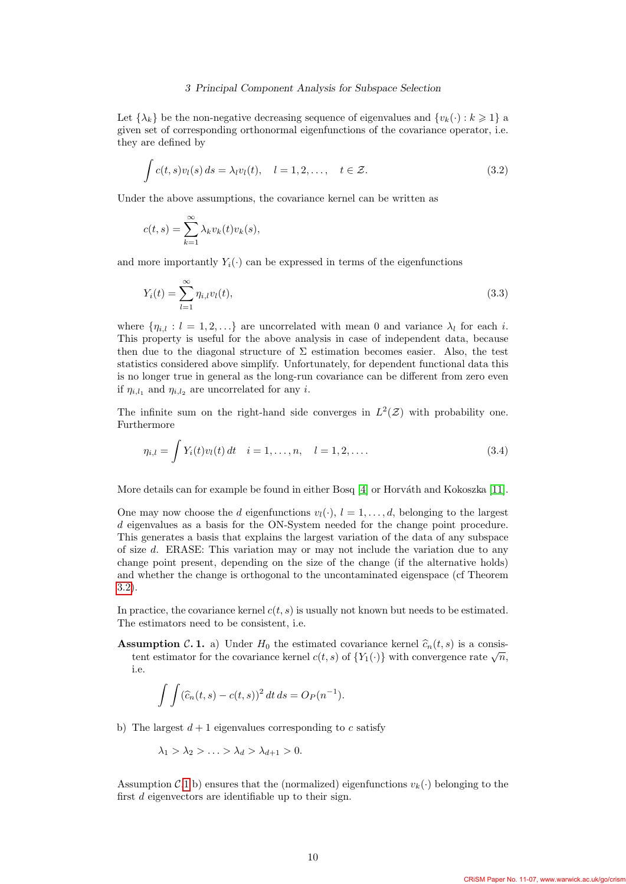#### <span id="page-10-1"></span>3 Principal Component Analysis for Subspace Selection

Let  $\{\lambda_k\}$  be the non-negative decreasing sequence of eigenvalues and  $\{v_k(\cdot): k \geq 1\}$  a given set of corresponding orthonormal eigenfunctions of the covariance operator, i.e. they are defined by

$$
\int c(t,s)v_l(s) ds = \lambda_l v_l(t), \quad l = 1, 2, \dots, \quad t \in \mathcal{Z}.
$$
\n(3.2)

Under the above assumptions, the covariance kernel can be written as

$$
c(t,s) = \sum_{k=1}^{\infty} \lambda_k v_k(t) v_k(s),
$$

and more importantly  $Y_i(\cdot)$  can be expressed in terms of the eigenfunctions

$$
Y_i(t) = \sum_{l=1}^{\infty} \eta_{i,l} v_l(t),
$$
\n(3.3)

where  $\{\eta_{i,l} : l = 1,2,...\}$  are uncorrelated with mean 0 and variance  $\lambda_l$  for each i. This property is useful for the above analysis in case of independent data, because then due to the diagonal structure of  $\Sigma$  estimation becomes easier. Also, the test statistics considered above simplify. Unfortunately, for dependent functional data this is no longer true in general as the long-run covariance can be different from zero even if  $\eta_{i,l_1}$  and  $\eta_{i,l_2}$  are uncorrelated for any *i*.

The infinite sum on the right-hand side converges in  $L^2(\mathcal{Z})$  with probability one. Furthermore

$$
\eta_{i,l} = \int Y_i(t)v_l(t) dt \quad i = 1, \dots, n, \quad l = 1, 2, \dots
$$
\n(3.4)

More details can for example be found in either Bosq  $[4]$  or Horváth and Kokoszka  $[11]$ .

One may now choose the d eigenfunctions  $v_l(\cdot)$ ,  $l = 1, \ldots, d$ , belonging to the largest d eigenvalues as a basis for the ON-System needed for the change point procedure. This generates a basis that explains the largest variation of the data of any subspace of size d. ERASE: This variation may or may not include the variation due to any change point present, depending on the size of the change (if the alternative holds) and whether the change is orthogonal to the uncontaminated eigenspace (cf Theorem [3.2\)](#page-12-0).

In practice, the covariance kernel  $c(t, s)$  is usually not known but needs to be estimated. The estimators need to be consistent, i.e.

<span id="page-10-0"></span>**Assumption C. 1.** a) Under  $H_0$  the estimated covariance kernel  $\hat{c}_n(t, s)$  is a consis-**Sumption C. 1.** a) Under  $H_0$  the estimated covariance kerner  $c_n(t, s)$  is a consistent estimator for the covariance kernel  $c(t, s)$  of  $\{Y_1(\cdot)\}$  with convergence rate  $\sqrt{n}$ , i.e.

$$
\int \int (\widehat{c}_n(t,s) - c(t,s))^2 dt ds = O_P(n^{-1}).
$$

b) The largest  $d+1$  eigenvalues corresponding to c satisfy

$$
\lambda_1 > \lambda_2 > \ldots > \lambda_d > \lambda_{d+1} > 0.
$$

Assumption C[.1](#page-10-0) b) ensures that the (normalized) eigenfunctions  $v_k(\cdot)$  belonging to the first d eigenvectors are identifiable up to their sign.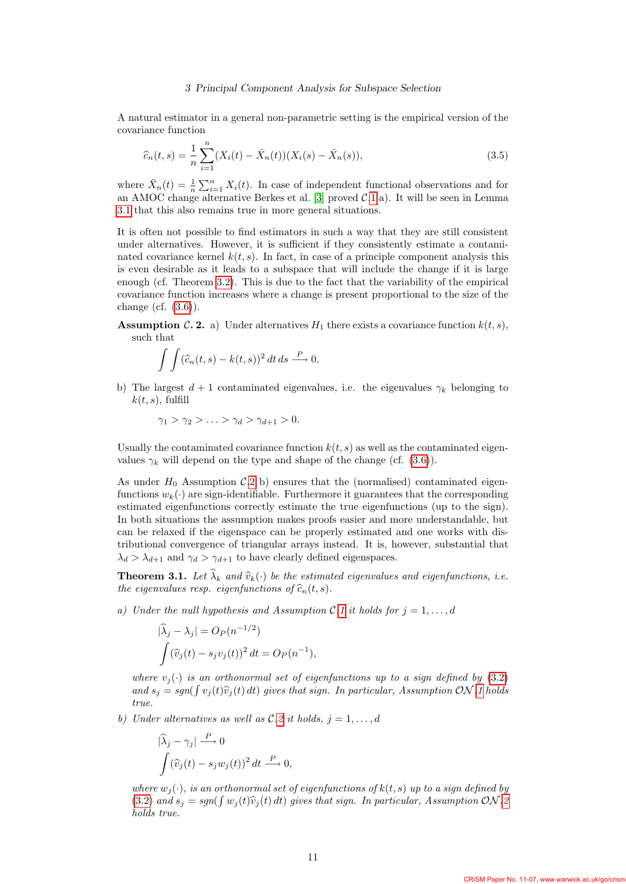#### <span id="page-11-1"></span>3 Principal Component Analysis for Subspace Selection

A natural estimator in a general non-parametric setting is the empirical version of the covariance function

$$
\widehat{c}_n(t,s) = \frac{1}{n} \sum_{i=1}^n (X_i(t) - \bar{X}_n(t))(X_i(s) - \bar{X}_n(s)),\tag{3.5}
$$

where  $\bar{X}_n(t) = \frac{1}{n} \sum_{i=1}^n X_i(t)$ . In case of independent functional observations and for an AMOC change alternative Berkes et al. [\[3\]](#page-21-2) proved  $C.1$  $C.1$  a). It will be seen in Lemma [3.1](#page-12-1) that this also remains true in more general situations.

It is often not possible to find estimators in such a way that they are still consistent under alternatives. However, it is sufficient if they consistently estimate a contaminated covariance kernel  $k(t, s)$ . In fact, in case of a principle component analysis this is even desirable as it leads to a subspace that will include the change if it is large enough (cf. Theorem [3.2\)](#page-12-0). This is due to the fact that the variability of the empirical covariance function increases where a change is present proportional to the size of the change (cf. [\(3.6\)](#page-12-2)).

<span id="page-11-0"></span>**Assumption C. 2.** a) Under alternatives  $H_1$  there exists a covariance function  $k(t, s)$ , such that

$$
\int \int (\widehat{c}_n(t,s) - k(t,s))^2 dt ds \stackrel{P}{\longrightarrow} 0.
$$

b) The largest  $d+1$  contaminated eigenvalues, i.e. the eigenvalues  $\gamma_k$  belonging to  $k(t, s)$ , fulfill

$$
\gamma_1 > \gamma_2 > \ldots > \gamma_d > \gamma_{d+1} > 0.
$$

Usually the contaminated covariance function  $k(t, s)$  as well as the contaminated eigenvalues  $\gamma_k$  will depend on the type and shape of the change (cf. [\(3.6\)](#page-12-2)).

As under  $H_0$  Assumption C[.2](#page-11-0) b) ensures that the (normalised) contaminated eigenfunctions  $w_k(\cdot)$  are sign-identifiable. Furthermore it guarantees that the corresponding estimated eigenfunctions correctly estimate the true eigenfunctions (up to the sign). In both situations the assumption makes proofs easier and more understandable, but can be relaxed if the eigenspace can be properly estimated and one works with distributional convergence of triangular arrays instead. It is, however, substantial that  $\lambda_d > \lambda_{d+1}$  and  $\gamma_d > \gamma_{d+1}$  to have clearly defined eigenspaces.

<span id="page-11-2"></span>**Theorem 3.1.** Let  $\widehat{\lambda}_k$  and  $\widehat{v}_k(\cdot)$  be the estimated eigenvalues and eigenfunctions, i.e. the eigenvalues resp. eigenfunctions of  $\widehat{c}_n(t, s)$ .

a) Under the null hypothesis and Assumption C[.1](#page-10-0) it holds for  $j = 1, \ldots, d$ 

$$
|\widehat{\lambda}_j - \lambda_j| = O_P(n^{-1/2})
$$
  

$$
\int (\widehat{v}_j(t) - s_j v_j(t))^2 dt = O_P(n^{-1}),
$$

where  $v_i(\cdot)$  is an orthonormal set of eigenfunctions up to a sign defined by [\(3.2\)](#page-10-1) and  $s_j = sgn(\int v_j(t)\hat{v}_j(t) dt)$  gives that sign. In particular, Assumption  $ON.1$  $ON.1$  holds true.

b) Under alternatives as well as  $C.2$  $C.2$  it holds,  $j = 1, \ldots, d$ 

$$
\begin{aligned} |\widehat{\lambda}_j - \gamma_j| & \xrightarrow{P} 0 \\ \int (\widehat{v}_j(t) - s_j w_j(t))^2 \, dt & \xrightarrow{P} 0, \end{aligned}
$$

where  $w_i(\cdot)$ , is an orthonormal set of eigenfunctions of  $k(t, s)$  up to a sign defined by  $(3.2)$  and  $s_j = sgn(\int w_j(t)\hat{v}_j(t) dt)$  gives that sign. In particular, Assumption ON[.2](#page-7-0) holds true.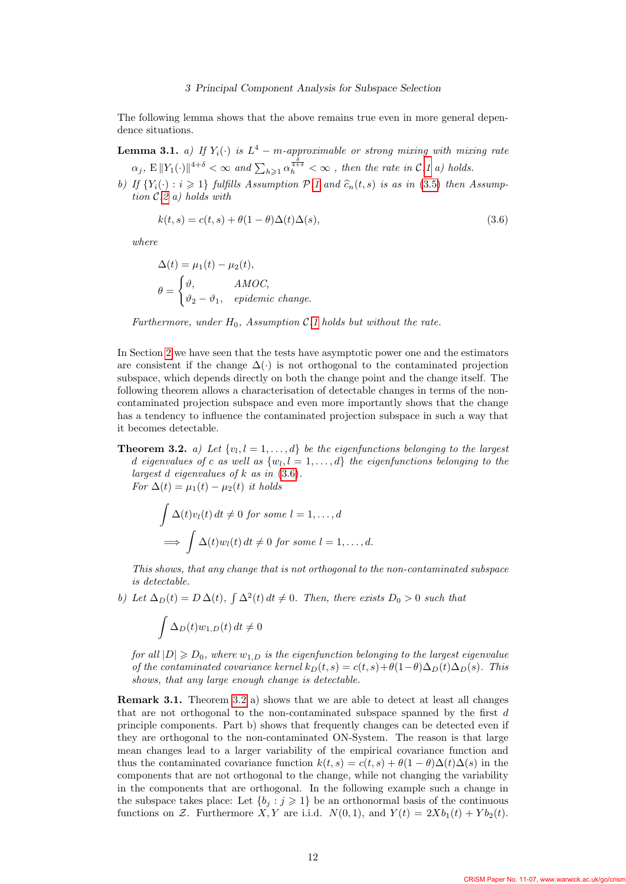#### <span id="page-12-2"></span>3 Principal Component Analysis for Subspace Selection

The following lemma shows that the above remains true even in more general dependence situations.

<span id="page-12-1"></span>**Lemma 3.1.** a) If  $Y_i(\cdot)$  is  $L^4 - m$ -approximable or strong mixing with mixing rate  $\alpha_j$ ,  $\mathbb{E} \|Y_1(\cdot)\|^{4+\delta} < \infty$  and  $\sum_{h\geqslant 1} \alpha_h^{\frac{\delta}{4+\delta}} < \infty$ , then the rate in C[.1](#page-10-0) a) holds.

b) If  $\{Y_i(\cdot): i \geq 1\}$  fulfills Assumption P[.1](#page-4-2) and  $\hat{c}_n(t, s)$  is as in [\(3.5\)](#page-11-1) then Assumption  $C.2a)$  $C.2a)$  $C.2a)$  holds with

$$
k(t,s) = c(t,s) + \theta(1-\theta)\Delta(t)\Delta(s),\tag{3.6}
$$

where

$$
\Delta(t) = \mu_1(t) - \mu_2(t),
$$
  
\n
$$
\theta = \begin{cases} \vartheta, & \text{AMOC,} \\ \vartheta_2 - \vartheta_1, & \text{epidemic change.} \end{cases}
$$

Furthermore, under  $H_0$ , Assumption C[.1](#page-10-0) holds but without the rate.

In Section [2](#page-2-0) we have seen that the tests have asymptotic power one and the estimators are consistent if the change  $\Delta(\cdot)$  is not orthogonal to the contaminated projection subspace, which depends directly on both the change point and the change itself. The following theorem allows a characterisation of detectable changes in terms of the noncontaminated projection subspace and even more importantly shows that the change has a tendency to influence the contaminated projection subspace in such a way that it becomes detectable.

<span id="page-12-0"></span>**Theorem 3.2.** a) Let  $\{v_l, l = 1, \ldots, d\}$  be the eigenfunctions belonging to the largest d eigenvalues of c as well as  $\{w_l, l = 1, \ldots, d\}$  the eigenfunctions belonging to the largest d eigenvalues of  $k$  as in  $(3.6)$ . For  $\Delta(t) = \mu_1(t) - \mu_2(t)$  it holds

$$
\int \Delta(t)v_l(t) dt \neq 0 \text{ for some } l = 1, ..., d
$$

$$
\implies \int \Delta(t)w_l(t) dt \neq 0 \text{ for some } l = 1, ..., d.
$$

This shows, that any change that is not orthogonal to the non-contaminated subspace is detectable.

b) Let  $\Delta_D(t) = D \Delta(t)$ ,  $\int \Delta^2(t) dt \neq 0$ . Then, there exists  $D_0 > 0$  such that

$$
\int \Delta_D(t) w_{1,D}(t) \, dt \neq 0
$$

for all  $|D| \geq D_0$ , where  $w_{1,D}$  is the eigenfunction belonging to the largest eigenvalue of the contaminated covariance kernel  $k_D(t, s) = c(t, s) + \theta(1-\theta)\Delta_D(t)\Delta_D(s)$ . This shows, that any large enough change is detectable.

Remark 3.1. Theorem [3.2](#page-12-0) a) shows that we are able to detect at least all changes that are not orthogonal to the non-contaminated subspace spanned by the first d principle components. Part b) shows that frequently changes can be detected even if they are orthogonal to the non-contaminated ON-System. The reason is that large mean changes lead to a larger variability of the empirical covariance function and thus the contaminated covariance function  $k(t, s) = c(t, s) + \theta(1 - \theta)\Delta(t)\Delta(s)$  in the components that are not orthogonal to the change, while not changing the variability in the components that are orthogonal. In the following example such a change in the subspace takes place: Let  $\{b_i : j \geq 1\}$  be an orthonormal basis of the continuous functions on Z. Furthermore X, Y are i.i.d.  $N(0, 1)$ , and  $Y(t) = 2Xb_1(t) + Yb_2(t)$ .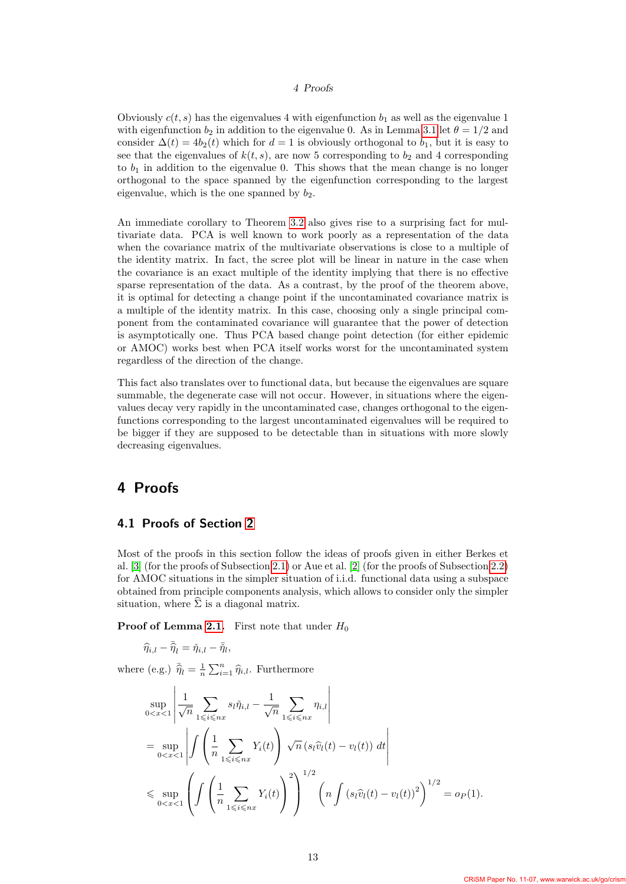Obviously  $c(t, s)$  has the eigenvalues 4 with eigenfunction  $b_1$  as well as the eigenvalue 1 with eigenfunction  $b_2$  in addition to the eigenvalue 0. As in Lemma [3.1](#page-12-1) let  $\theta = 1/2$  and consider  $\Delta(t) = 4b_2(t)$  which for  $d = 1$  is obviously orthogonal to  $b_1$ , but it is easy to see that the eigenvalues of  $k(t, s)$ , are now 5 corresponding to  $b_2$  and 4 corresponding to  $b_1$  in addition to the eigenvalue 0. This shows that the mean change is no longer orthogonal to the space spanned by the eigenfunction corresponding to the largest eigenvalue, which is the one spanned by  $b_2$ .

An immediate corollary to Theorem [3.2](#page-12-0) also gives rise to a surprising fact for multivariate data. PCA is well known to work poorly as a representation of the data when the covariance matrix of the multivariate observations is close to a multiple of the identity matrix. In fact, the scree plot will be linear in nature in the case when the covariance is an exact multiple of the identity implying that there is no effective sparse representation of the data. As a contrast, by the proof of the theorem above, it is optimal for detecting a change point if the uncontaminated covariance matrix is a multiple of the identity matrix. In this case, choosing only a single principal component from the contaminated covariance will guarantee that the power of detection is asymptotically one. Thus PCA based change point detection (for either epidemic or AMOC) works best when PCA itself works worst for the uncontaminated system regardless of the direction of the change.

This fact also translates over to functional data, but because the eigenvalues are square summable, the degenerate case will not occur. However, in situations where the eigenvalues decay very rapidly in the uncontaminated case, changes orthogonal to the eigenfunctions corresponding to the largest uncontaminated eigenvalues will be required to be bigger if they are supposed to be detectable than in situations with more slowly decreasing eigenvalues.

# 4 Proofs

## 4.1 Proofs of Section [2](#page-2-0)

Most of the proofs in this section follow the ideas of proofs given in either Berkes et al. [\[3\]](#page-21-2) (for the proofs of Subsection [2.1\)](#page-3-1) or Aue et al. [\[2\]](#page-21-3) (for the proofs of Subsection [2.2\)](#page-8-0) for AMOC situations in the simpler situation of i.i.d. functional data using a subspace obtained from principle components analysis, which allows to consider only the simpler situation, where  $\Sigma$  is a diagonal matrix.

**Proof of Lemma [2.1.](#page-5-1)** First note that under  $H_0$ 

$$
\widehat{\eta}_{i,l} - \overline{\widehat{\eta}}_l = \check{\eta}_{i,l} - \overline{\check{\eta}}_l,
$$

where (e.g.)  $\hat{\bar{\eta}}_l = \frac{1}{n} \sum_{i=1}^n \hat{\eta}_{i,l}$ . Furthermore

$$
\sup_{0 < x < 1} \left| \frac{1}{\sqrt{n}} \sum_{1 \leqslant i \leqslant nx} s_i \check{\eta}_{i,l} - \frac{1}{\sqrt{n}} \sum_{1 \leqslant i \leqslant nx} \eta_{i,l} \right|
$$
\n
$$
= \sup_{0 < x < 1} \left| \int \left( \frac{1}{n} \sum_{1 \leqslant i \leqslant nx} Y_i(t) \right) \sqrt{n} \left( s_i \hat{v}_l(t) - v_l(t) \right) dt \right|
$$
\n
$$
\leqslant \sup_{0 < x < 1} \left( \int \left( \frac{1}{n} \sum_{1 \leqslant i \leqslant nx} Y_i(t) \right)^2 \right)^{1/2} \left( n \int \left( s_i \hat{v}_l(t) - v_l(t) \right)^2 \right)^{1/2} = o_P(1).
$$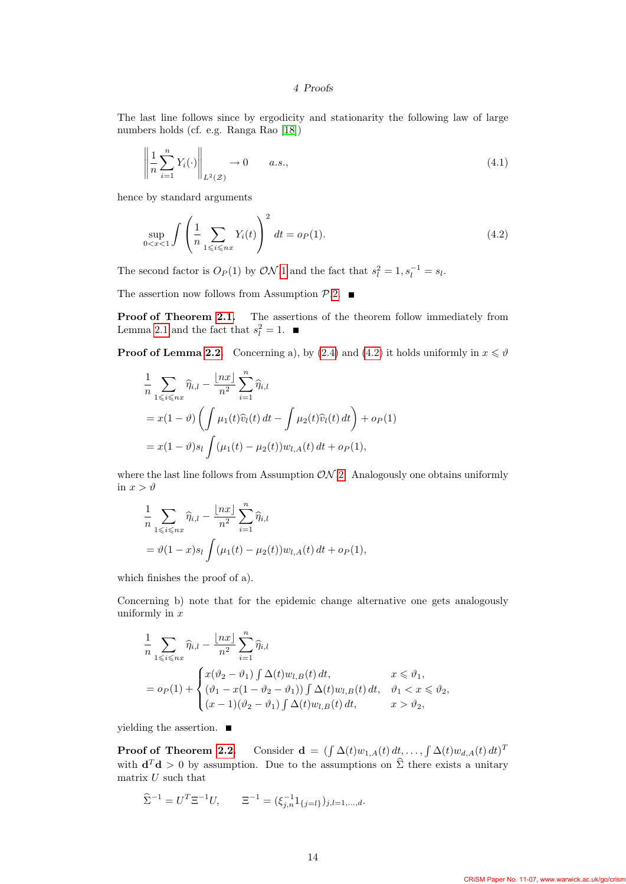The last line follows since by ergodicity and stationarity the following law of large numbers holds (cf. e.g. Ranga Rao [\[18\]](#page-21-13))

<span id="page-14-1"></span>
$$
\left\| \frac{1}{n} \sum_{i=1}^{n} Y_i(\cdot) \right\|_{L^2(\mathcal{Z})} \to 0 \qquad a.s., \tag{4.1}
$$

hence by standard arguments

<span id="page-14-0"></span>
$$
\sup_{0 < x < 1} \int \left( \frac{1}{n} \sum_{1 \leqslant i \leqslant nx} Y_i(t) \right)^2 dt = o_P(1). \tag{4.2}
$$

The second factor is  $O_P(1)$  by  $ON.1$  $ON.1$  and the fact that  $s_l^2 = 1, s_l^{-1} = s_l$ .

The assertion now follows from Assumption  $\mathcal{P}.\mathcal{Z}.\blacksquare$ 

Proof of Theorem [2.1.](#page-6-0) The assertions of the theorem follow immediately from Lemma [2.1](#page-5-1) and the fact that  $s_i^2 = 1$ .

**Proof of Lemma [2.2.](#page-7-1)** Concerning a), by [\(2.4\)](#page-4-3) and [\(4.2\)](#page-14-0) it holds uniformly in  $x \leq \vartheta$ 

$$
\frac{1}{n} \sum_{1 \leq i \leq n} \widehat{\eta}_{i,l} - \frac{\lfloor nx \rfloor}{n^2} \sum_{i=1}^n \widehat{\eta}_{i,l}
$$
\n
$$
= x(1 - \vartheta) \left( \int \mu_1(t) \widehat{v}_l(t) dt - \int \mu_2(t) \widehat{v}_l(t) dt \right) + o_P(1)
$$
\n
$$
= x(1 - \vartheta) s_l \int (\mu_1(t) - \mu_2(t)) w_{l,A}(t) dt + o_P(1),
$$

where the last line follows from Assumption  $ON.2$ . Analogously one obtains uniformly in  $x > \vartheta$ 

$$
\frac{1}{n} \sum_{1 \le i \le nx} \hat{\eta}_{i,l} - \frac{\lfloor nx \rfloor}{n^2} \sum_{i=1}^n \hat{\eta}_{i,l} \n= \vartheta(1-x)s_l \int (\mu_1(t) - \mu_2(t)) w_{l,A}(t) dt + o_P(1),
$$

which finishes the proof of a).

Concerning b) note that for the epidemic change alternative one gets analogously uniformly in  $x$ 

$$
\frac{1}{n} \sum_{1 \leq i \leq n} \widehat{\eta}_{i,l} - \frac{\lfloor nx \rfloor}{n^2} \sum_{i=1}^n \widehat{\eta}_{i,l}
$$
\n
$$
= o_P(1) + \begin{cases}\nx(\vartheta_2 - \vartheta_1) \int \Delta(t) w_{l,B}(t) dt, & x \leq \vartheta_1, \\
(\vartheta_1 - x(1 - \vartheta_2 - \vartheta_1)) \int \Delta(t) w_{l,B}(t) dt, & \vartheta_1 < x \leq \vartheta_2, \\
(x - 1)(\vartheta_2 - \vartheta_1) \int \Delta(t) w_{l,B}(t) dt, & x > \vartheta_2,\n\end{cases}
$$

yielding the assertion.

Proof of Theorem  $2.2$ .  $\Delta(t)w_{1,A}(t) dt, \ldots, \int \Delta(t)w_{d,A}(t) dt)^T$ with  $\mathbf{d}^T \mathbf{d} > 0$  by assumption. Due to the assumptions on  $\hat{\Sigma}$  there exists a unitary matrix  $U$  such that

$$
\widehat{\Sigma}^{-1} = U^T \Xi^{-1} U, \qquad \Xi^{-1} = (\xi_{j,n}^{-1} 1_{\{j=l\}})_{j,l=1,\dots,d}.
$$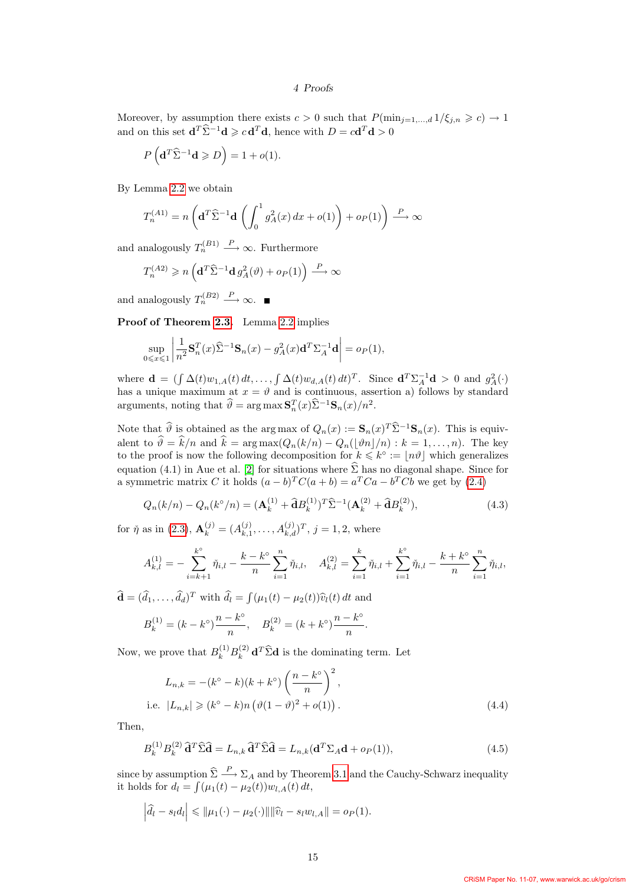Moreover, by assumption there exists  $c > 0$  such that  $P(\min_{j=1,\dots,d} 1/\xi_{j,n} \geq c) \to 1$ and on this set  $\mathbf{d}^T \hat{\Sigma}^{-1} \mathbf{d} \geqslant c \mathbf{d}^T \mathbf{d}$ , hence with  $D = c \mathbf{d}^T \mathbf{d} > 0$ 

$$
P\left(\mathbf{d}^T\widehat{\Sigma}^{-1}\mathbf{d}\geqslant D\right)=1+o(1).
$$

By Lemma [2.2](#page-7-1) we obtain

$$
T_n^{(A1)} = n \left( \mathbf{d}^T \widehat{\Sigma}^{-1} \mathbf{d} \left( \int_0^1 g_A^2(x) \, dx + o(1) \right) + o_P(1) \right) \xrightarrow{P} \infty
$$

and analogously  $T_n^{(B1)} \longrightarrow \infty$ . Furthermore

$$
T_n^{(A2)} \geqslant n \left( \mathbf{d}^T \widehat{\Sigma}^{-1} \mathbf{d} \, g_A^2(\vartheta) + o_P(1) \right) \xrightarrow{P} \infty
$$

and analogously  $T_n^{(B2)} \xrightarrow{P} \infty$ .

Proof of Theorem [2.3.](#page-8-2) Lemma [2.2](#page-7-1) implies

$$
\sup_{0 \leq x \leq 1} \left| \frac{1}{n^2} \mathbf{S}_n^T(x) \widehat{\Sigma}^{-1} \mathbf{S}_n(x) - g_A^2(x) \mathbf{d}^T \Sigma_A^{-1} \mathbf{d} \right| = o_P(1),
$$

where  $\mathbf{d} = (\int \Delta(t)w_{1,A}(t) dt, \ldots, \int \Delta(t)w_{d,A}(t) dt)^T$ . Since  $\mathbf{d}^T \Sigma_A^{-1} \mathbf{d} > 0$  and  $g_A^2(\cdot)$ has a unique maximum at  $x = \vartheta$  and is continuous, assertion a) follows by standard arguments, noting that  $\widehat{\theta} = \arg \max \mathbf{S}_n^T(x) \widehat{\Sigma}^{-1} \mathbf{S}_n(x) / n^2$ .

Note that  $\hat{\theta}$  is obtained as the arg max of  $Q_n(x) := \mathbf{S}_n(x)^T \hat{\Sigma}^{-1} \mathbf{S}_n(x)$ . This is equivalent to  $\hat{\theta} = \hat{k}/n$  and  $\hat{k} = \arg \max (Q_n(k/n) - Q_n(\lfloor \vartheta n \rfloor/n) : k = 1, ..., n)$ . The key to the proof is now the following decomposition for  $k \leq k^{\circ} := \lfloor n\vartheta \rfloor$  which generalizes equation (4.1) in Aue et al. [\[2\]](#page-21-3) for situations where  $\hat{\Sigma}$  has no diagonal shape. Since for a symmetric matrix C it holds  $(a - b)^{T}C(a + b) = a^{T}Ca - b^{T}Cb$  we get by [\(2.4\)](#page-4-3)

$$
Q_n(k/n) - Q_n(k^{\circ}/n) = (\mathbf{A}_k^{(1)} + \widehat{\mathbf{d}}B_k^{(1)})^T \widehat{\Sigma}^{-1} (\mathbf{A}_k^{(2)} + \widehat{\mathbf{d}}B_k^{(2)}),
$$
(4.3)

for  $\check{\eta}$  as in [\(2.3\)](#page-4-4),  $\mathbf{A}_k^{(j)} = (A_{k,1}^{(j)})$  $k, (i), \ldots, A_{k,d}^{(j)})^T$ ,  $j = 1, 2$ , where

$$
A_{k,l}^{(1)} = -\sum_{i=k+1}^{k^{\circ}} \check{\eta}_{i,l} - \frac{k-k^{\circ}}{n} \sum_{i=1}^{n} \check{\eta}_{i,l}, \quad A_{k,l}^{(2)} = \sum_{i=1}^{k} \check{\eta}_{i,l} + \sum_{i=1}^{k^{\circ}} \check{\eta}_{i,l} - \frac{k+k^{\circ}}{n} \sum_{i=1}^{n} \check{\eta}_{i,l},
$$

 $\hat{\mathbf{d}} = (\hat{d}_1, \dots, \hat{d}_d)^T$  with  $\hat{d}_l = \int (\mu_1(t) - \mu_2(t)) \hat{v}_l(t) dt$  and

$$
B_k^{(1)} = (k - k^{\circ}) \frac{n - k^{\circ}}{n}, \quad B_k^{(2)} = (k + k^{\circ}) \frac{n - k^{\circ}}{n}
$$

Now, we prove that  $B_k^{(1)} B_k^{(2)} \mathbf{d}^T \widehat{\Sigma} \mathbf{d}$  is the dominating term. Let

$$
L_{n,k} = -(k^{\circ} - k)(k + k^{\circ}) \left(\frac{n - k^{\circ}}{n}\right)^{2},
$$
  
i.e.  $|L_{n,k}| \ge (k^{\circ} - k)n \left(\vartheta(1 - \vartheta)^{2} + o(1)\right).$  (4.4)

<span id="page-15-2"></span><span id="page-15-1"></span><span id="page-15-0"></span>.

Then,

$$
B_k^{(1)} B_k^{(2)} \widehat{\mathbf{d}}^T \widehat{\Sigma} \widehat{\mathbf{d}} = L_{n,k} \widehat{\mathbf{d}}^T \widehat{\Sigma} \widehat{\mathbf{d}} = L_{n,k} (\mathbf{d}^T \Sigma_A \mathbf{d} + o_P(1)), \tag{4.5}
$$

since by assumption  $\hat{\Sigma} \stackrel{P}{\longrightarrow} \Sigma_A$  and by Theorem [3.1](#page-11-2) and the Cauchy-Schwarz inequality it holds for  $d_l = \int (\mu_1(t) - \mu_2(t))w_{l,A}(t) dt$ ,

$$
\left|\widehat{d}_l-s_l d_l\right|\leq \|\mu_1(\cdot)-\mu_2(\cdot)\|\|\widehat{v}_l-s_l w_{l,A}\|=o_P(1).
$$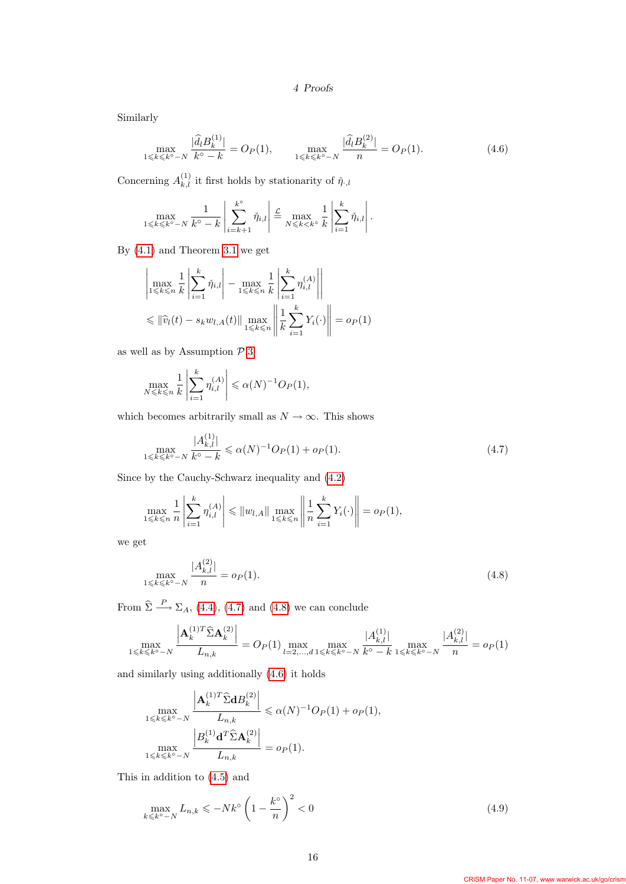Similarly

<span id="page-16-2"></span>
$$
\max_{1 \le k \le k^{\circ}-N} \frac{|\widehat{d}_l B_k^{(1)}|}{k^{\circ}-k} = O_P(1), \qquad \max_{1 \le k \le k^{\circ}-N} \frac{|\widehat{d}_l B_k^{(2)}|}{n} = O_P(1). \tag{4.6}
$$

Concerning  $A_{k,l}^{(1)}$  it first holds by stationarity of  $\check{\eta}_{l,l}$ 

$$
\max_{1 \leq k \leq k^{\circ}-N} \frac{1}{k^{\circ}-k} \left| \sum_{i=k+1}^{k^{\circ}} \check{\eta}_{i,l} \right| \stackrel{\mathcal{L}}{=} \max_{N \leq k < k^{\circ}} \frac{1}{k} \left| \sum_{i=1}^{k} \check{\eta}_{i,l} \right|.
$$

By [\(4.1\)](#page-14-1) and Theorem [3.1](#page-11-2) we get

$$
\left| \max_{1 \leq k \leq n} \frac{1}{k} \left| \sum_{i=1}^{k} \check{\eta}_{i,l} \right| - \max_{1 \leq k \leq n} \frac{1}{k} \left| \sum_{i=1}^{k} \eta_{i,l}^{(A)} \right| \right|
$$
  

$$
\leq \left\| \widehat{v}_{l}(t) - s_{k} w_{l,A}(t) \right\| \max_{1 \leq k \leq n} \left\| \frac{1}{k} \sum_{i=1}^{k} Y_{i}(\cdot) \right\| = o_{P}(1)
$$

as well as by Assumption  $P.3$  $P.3$ 

$$
\max_{N \leq k \leq n} \frac{1}{k} \left| \sum_{i=1}^{k} \eta_{i,l}^{(A)} \right| \leq \alpha(N)^{-1} O_P(1),
$$

which becomes arbitrarily small as  $N \to \infty$ . This shows

<span id="page-16-0"></span>
$$
\max_{1 \le k \le k^{\circ}-N} \frac{|A_{k,l}^{(1)}|}{k^{\circ}-k} \le \alpha(N)^{-1}O_P(1) + o_P(1). \tag{4.7}
$$

Since by the Cauchy-Schwarz inequality and [\(4.2\)](#page-14-0)

$$
\max_{1 \leq k \leq n} \frac{1}{n} \left| \sum_{i=1}^{k} \eta_{i,l}^{(A)} \right| \leq \|w_{l,A}\| \max_{1 \leq k \leq n} \left\| \frac{1}{n} \sum_{i=1}^{k} Y_i(\cdot) \right\| = o_P(1),
$$

we get

<span id="page-16-1"></span>
$$
\max_{1 \le k \le k^{\circ}-N} \frac{|A_{k,l}^{(2)}|}{n} = o_P(1). \tag{4.8}
$$

From  $\hat{\Sigma} \stackrel{P}{\longrightarrow} \Sigma_A$ , [\(4.4\)](#page-15-0), [\(4.7\)](#page-16-0) and [\(4.8\)](#page-16-1) we can conclude

$$
\max_{1 \leq k \leq k^{\circ}-N} \frac{\left|\mathbf{A}_{k}^{(1)T} \widehat{\Sigma} \mathbf{A}_{k}^{(2)}\right|}{L_{n,k}} = O_P(1) \max_{l=2,\dots,d} \max_{1 \leq k \leq k^{\circ}-N} \frac{|A_{k,l}^{(1)}|}{k^{\circ}-k} \max_{1 \leq k \leq k^{\circ}-N} \frac{|A_{k,l}^{(2)}|}{n} = o_P(1)
$$

and similarly using additionally [\(4.6\)](#page-16-2) it holds

$$
\max_{1 \leq k \leq k^{\circ}-N} \frac{\left|\mathbf{A}_{k}^{(1)T} \hat{\Sigma} \mathbf{d} B_{k}^{(2)}\right|}{L_{n,k}} \leq \alpha(N)^{-1} O_{P}(1) + o_{P}(1),
$$

$$
\max_{1 \leq k \leq k^{\circ}-N} \frac{\left|B_{k}^{(1)} \mathbf{d}^{T} \hat{\Sigma} \mathbf{A}_{k}^{(2)}\right|}{L_{n,k}} = o_{P}(1).
$$

This in addition to [\(4.5\)](#page-15-1) and

<span id="page-16-3"></span>
$$
\max_{k \leq k^{\circ}-N} L_{n,k} \leqslant -Nk^{\circ} \left(1 - \frac{k^{\circ}}{n}\right)^2 < 0 \tag{4.9}
$$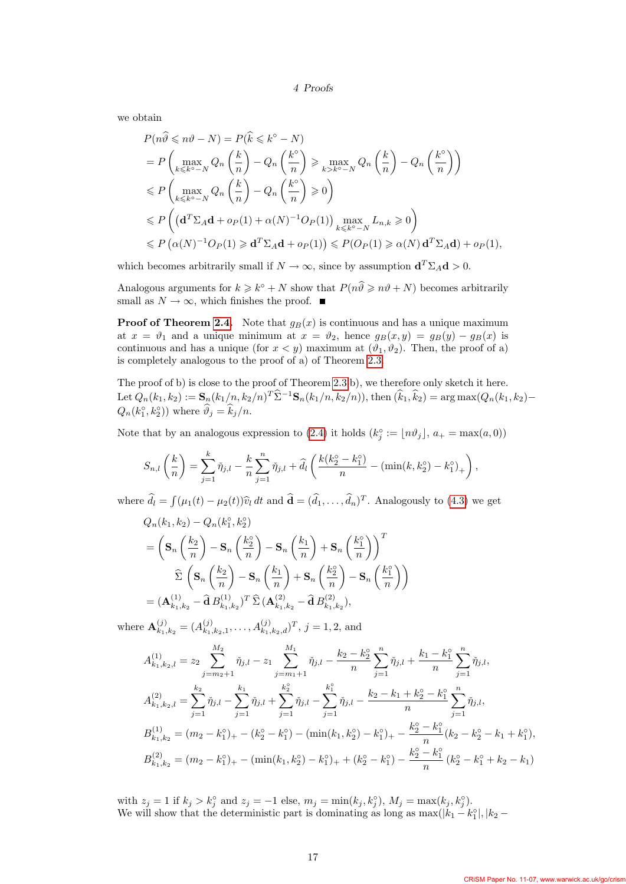we obtain

$$
P(n\hat{\theta} \leq n\theta - N) = P(\hat{k} \leq k^{\circ} - N)
$$
  
=  $P\left(\max_{k \leq k^{\circ} - N} Q_n\left(\frac{k}{n}\right) - Q_n\left(\frac{k^{\circ}}{n}\right) \geq \max_{k > k^{\circ} - N} Q_n\left(\frac{k}{n}\right) - Q_n\left(\frac{k^{\circ}}{n}\right)\right)$   
 $\leq P\left(\max_{k \leq k^{\circ} - N} Q_n\left(\frac{k}{n}\right) - Q_n\left(\frac{k^{\circ}}{n}\right) \geq 0\right)$   
 $\leq P\left((\mathbf{d}^T \Sigma_A \mathbf{d} + o_P(1) + \alpha(N)^{-1} O_P(1)) \max_{k \leq k^{\circ} - N} L_{n,k} \geq 0\right)$   
 $\leq P\left(\alpha(N)^{-1} O_P(1) \geq \mathbf{d}^T \Sigma_A \mathbf{d} + o_P(1)\right) \leq P(O_P(1) \geq \alpha(N) \mathbf{d}^T \Sigma_A \mathbf{d}) + o_P(1),$ 

which becomes arbitrarily small if  $N \to \infty$ , since by assumption  $d^T \Sigma_A d > 0$ .

Analogous arguments for  $k \geq k^{\circ} + N$  show that  $P(n\hat{\theta} \geq n\theta + N)$  becomes arbitrarily small as  $N \to \infty$ , which finishes the proof.  $\blacksquare$ 

**Proof of Theorem [2.4.](#page-9-1)** Note that  $g_B(x)$  is continuous and has a unique maximum at  $x = \vartheta_1$  and a unique minimum at  $x = \vartheta_2$ , hence  $g_B(x, y) = g_B(y) - g_B(x)$  is continuous and has a unique (for  $x < y$ ) maximum at  $(\vartheta_1, \vartheta_2)$ . Then, the proof of a) is completely analogous to the proof of a) of Theorem [2.3.](#page-8-2)

The proof of b) is close to the proof of Theorem [2.3](#page-8-2) b), we therefore only sketch it here. Let  $Q_n(k_1, k_2) := \mathbf{S}_n(k_1/n, k_2/n)^T \widehat{\Sigma}^{-1} \mathbf{S}_n(k_1/n, k_2/n)$ , then  $(\widehat{k}_1, \widehat{k}_2) = \arg \max (Q_n(k_1, k_2) Q_n(k_1^{\circ}, k_2^{\circ})$  where  $\widehat{\vartheta}_j = \widehat{k}_j/n$ .

Note that by an analogous expression to [\(2.4\)](#page-4-3) it holds  $(k_j^{\circ} := \lfloor n\vartheta_j \rfloor, a_+ = \max(a, 0))$ 

$$
S_{n,l}\left(\frac{k}{n}\right) = \sum_{j=1}^k \check{\eta}_{j,l} - \frac{k}{n} \sum_{j=1}^n \check{\eta}_{j,l} + \hat{d}_l \left(\frac{k(k_2^{\circ} - k_1^{\circ})}{n} - (\min(k, k_2^{\circ}) - k_1^{\circ})_+\right),
$$

where  $\hat{d}_l = \int (\mu_1(t) - \mu_2(t)) \hat{v}_l dt$  and  $\hat{\mathbf{d}} = (\hat{d}_1, \dots, \hat{d}_n)^T$ . Analogously to [\(4.3\)](#page-15-2) we get

$$
Q_{n}(k_{1},k_{2}) - Q_{n}(k_{1}^{o},k_{2}^{o})
$$
\n
$$
= \left(\mathbf{S}_{n}\left(\frac{k_{2}}{n}\right) - \mathbf{S}_{n}\left(\frac{k_{2}^{o}}{n}\right) - \mathbf{S}_{n}\left(\frac{k_{1}}{n}\right) + \mathbf{S}_{n}\left(\frac{k_{1}^{o}}{n}\right)\right)^{T}
$$
\n
$$
\widehat{\Sigma}\left(\mathbf{S}_{n}\left(\frac{k_{2}}{n}\right) - \mathbf{S}_{n}\left(\frac{k_{1}}{n}\right) + \mathbf{S}_{n}\left(\frac{k_{2}^{o}}{n}\right) - \mathbf{S}_{n}\left(\frac{k_{1}^{o}}{n}\right)\right)
$$
\n
$$
= (\mathbf{A}_{k_{1},k_{2}}^{(1)} - \widehat{\mathbf{d}}B_{k_{1},k_{2}}^{(1)})^{T} \widehat{\Sigma} (\mathbf{A}_{k_{1},k_{2}}^{(2)} - \widehat{\mathbf{d}}B_{k_{1},k_{2}}^{(2)}),
$$

where  $\mathbf{A}_{k_1}^{(j)}$  $\binom{(j)}{k_1,k_2} = (A^{(j)}_{k_1})$  $k_{1,k_{2},1}^{(j)},\ldots, A_{k_{1},k_{2},d}^{(j)}\}^{T}, j = 1,2$ , and

$$
A_{k_1,k_2,l}^{(1)} = z_2 \sum_{j=m_2+1}^{M_2} \check{\eta}_{j,l} - z_1 \sum_{j=m_1+1}^{M_1} \check{\eta}_{j,l} - \frac{k_2 - k_2^{\circ}}{n} \sum_{j=1}^n \check{\eta}_{j,l} + \frac{k_1 - k_1^{\circ}}{n} \sum_{j=1}^n \check{\eta}_{j,l},
$$
  
\n
$$
A_{k_1,k_2,l}^{(2)} = \sum_{j=1}^{k_2} \check{\eta}_{j,l} - \sum_{j=1}^{k_1} \check{\eta}_{j,l} + \sum_{j=1}^{k_2^{\circ}} \check{\eta}_{j,l} - \sum_{j=1}^{k_1^{\circ}} \check{\eta}_{j,l} - \frac{k_2 - k_1 + k_2^{\circ} - k_1^{\circ}}{n} \sum_{j=1}^n \check{\eta}_{j,l},
$$
  
\n
$$
B_{k_1,k_2}^{(1)} = (m_2 - k_1^{\circ}) + -(k_2^{\circ} - k_1^{\circ}) - (\min(k_1, k_2^{\circ}) - k_1^{\circ}) + -\frac{k_2^{\circ} - k_1^{\circ}}{n} (k_2 - k_2^{\circ} - k_1 + k_1^{\circ}),
$$
  
\n
$$
B_{k_1,k_2}^{(2)} = (m_2 - k_1^{\circ}) + -(\min(k_1, k_2^{\circ}) - k_1^{\circ}) + (k_2^{\circ} - k_1^{\circ}) - \frac{k_2^{\circ} - k_1^{\circ}}{n} (k_2^{\circ} - k_1^{\circ} + k_2 - k_1)
$$

with  $z_j = 1$  if  $k_j > k_j^{\circ}$  and  $z_j = -1$  else,  $m_j = \min(k_j, k_j^{\circ}), M_j = \max(k_j, k_j^{\circ}).$ We will show that the deterministic part is dominating as long as  $\max(|k_1 - k_1|, |k_2 - k_2|)$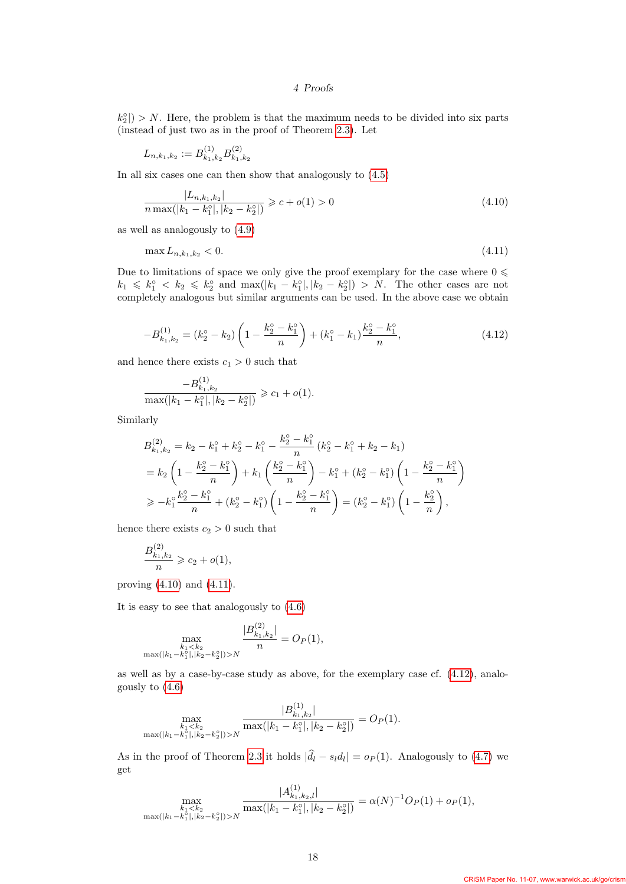$|k_2^{\circ}|$  > N. Here, the problem is that the maximum needs to be divided into six parts (instead of just two as in the proof of Theorem [2.3\)](#page-8-2). Let

$$
L_{n,k_1,k_2} := B_{k_1,k_2}^{(1)} B_{k_1,k_2}^{(2)}
$$

In all six cases one can then show that analogously to [\(4.5\)](#page-15-1)

<span id="page-18-0"></span>
$$
\frac{|L_{n,k_1,k_2}|}{n\max(|k_1 - k_1^o|, |k_2 - k_2^o|)} \geqslant c + o(1) > 0
$$
\n(4.10)

as well as analogously to [\(4.9\)](#page-16-3)

<span id="page-18-1"></span>
$$
\max L_{n,k_1,k_2} < 0. \tag{4.11}
$$

Due to limitations of space we only give the proof exemplary for the case where  $0 \leq$  $k_1 \leq k_1^{\circ} \leq k_2 \leq k_2^{\circ}$  and  $\max(|k_1 - k_1^{\circ}|, |k_2 - k_2^{\circ}|) > N$ . The other cases are not completely analogous but similar arguments can be used. In the above case we obtain

<span id="page-18-2"></span>
$$
-B_{k_1,k_2}^{(1)} = (k_2^{\circ} - k_2) \left( 1 - \frac{k_2^{\circ} - k_1^{\circ}}{n} \right) + (k_1^{\circ} - k_1) \frac{k_2^{\circ} - k_1^{\circ}}{n},\tag{4.12}
$$

and hence there exists  $c_1 > 0$  such that

$$
\frac{-B_{k_1,k_2}^{(1)}}{\max(|k_1 - k_1^{\circ}|, |k_2 - k_2^{\circ}|)} \geq c_1 + o(1).
$$

Similarly

$$
B_{k_1,k_2}^{(2)} = k_2 - k_1^{\circ} + k_2^{\circ} - k_1^{\circ} - \frac{k_2^{\circ} - k_1^{\circ}}{n} (k_2^{\circ} - k_1^{\circ} + k_2 - k_1)
$$
  
=  $k_2 \left( 1 - \frac{k_2^{\circ} - k_1^{\circ}}{n} \right) + k_1 \left( \frac{k_2^{\circ} - k_1^{\circ}}{n} \right) - k_1^{\circ} + (k_2^{\circ} - k_1^{\circ}) \left( 1 - \frac{k_2^{\circ} - k_1^{\circ}}{n} \right)$   
 $\geq k_1^{\circ} \frac{k_2^{\circ} - k_1^{\circ}}{n} + (k_2^{\circ} - k_1^{\circ}) \left( 1 - \frac{k_2^{\circ} - k_1^{\circ}}{n} \right) = (k_2^{\circ} - k_1^{\circ}) \left( 1 - \frac{k_2^{\circ}}{n} \right),$ 

hence there exists  $c_2 > 0$  such that

$$
\frac{B_{k_1,k_2}^{(2)}}{n} \geqslant c_2 + o(1),
$$

proving [\(4.10\)](#page-18-0) and [\(4.11\)](#page-18-1).

It is easy to see that analogously to [\(4.6\)](#page-16-2)

$$
\max_{\substack{k_1 < k_2 \\ \max(|k_1 - k_1^{\circ}|, |k_2 - k_2^{\circ}|) > N}} \frac{|B_{k_1, k_2}^{(2)}|}{n} = O_P(1),
$$

as well as by a case-by-case study as above, for the exemplary case cf. [\(4.12\)](#page-18-2), analogously to [\(4.6\)](#page-16-2)

$$
\max_{\substack{k_1 < k_2 \\ \max(|k_1 - k_1^{\circ}|, |k_2 - k_2^{\circ}|) > N}} \frac{|B^{(1)}_{k_1, k_2}|}{\max(|k_1 - k_1^{\circ}|, |k_2 - k_2^{\circ}|)} = O_P(1).
$$

As in the proof of Theorem [2.3](#page-8-2) it holds  $|d_l - s_l d_l| = o_P(1)$ . Analogously to [\(4.7\)](#page-16-0) we get

$$
\max_{\substack{k_1 < k_2 \\ \max(|k_1 - k_1^{\circ}|, |k_2 - k_2^{\circ}|) > N}} \frac{|A_{k_1, k_2, l}^{(1)}|}{\max(|k_1 - k_1^{\circ}|, |k_2 - k_2^{\circ}|)} = \alpha(N)^{-1} O_P(1) + o_P(1),
$$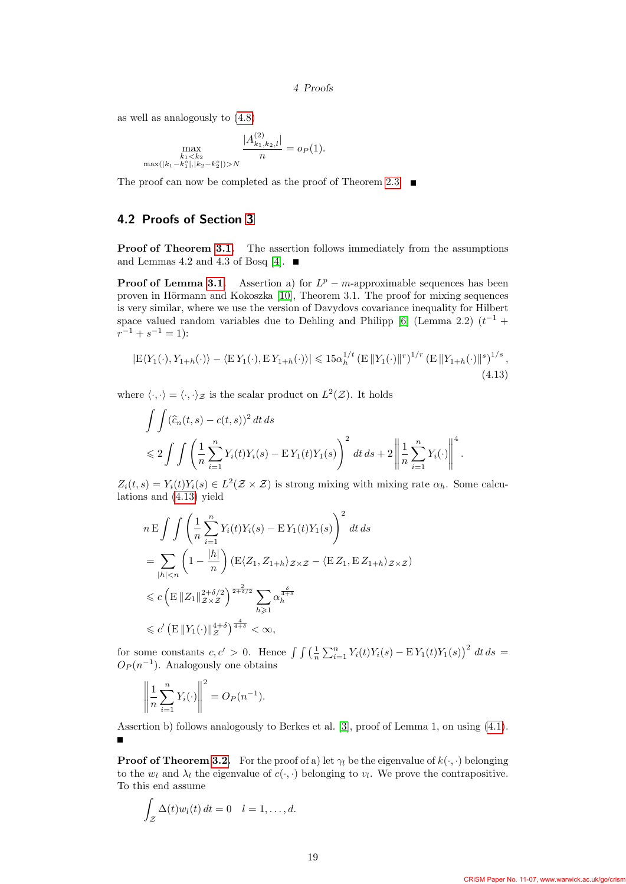as well as analogously to [\(4.8\)](#page-16-1)

 $m<sub>k</sub>$ 

$$
\max_{\substack{k_1 < k_2 \\ \max(|k_1 - k_1^{\circ}|, |k_2 - k_2^{\circ}|) > N}} \frac{|A_{k_1, k_2, l}^{(2)}|}{n} = o_P(1).
$$

The proof can now be completed as the proof of Theorem [2.3.](#page-8-2)  $\blacksquare$ 

## 4.2 Proofs of Section [3](#page-9-0)

Proof of Theorem [3.1.](#page-11-2) The assertion follows immediately from the assumptions and Lemmas 4.2 and 4.3 of Bosq [\[4\]](#page-21-12).  $\blacksquare$ 

**Proof of Lemma [3.1.](#page-12-1)** Assertion a) for  $L^p - m$ -approximable sequences has been proven in Hörmann and Kokoszka  $[10]$ , Theorem 3.1. The proof for mixing sequences is very similar, where we use the version of Davydovs covariance inequality for Hilbert space valued random variables due to Dehling and Philipp [\[6\]](#page-21-14) (Lemma 2.2)  $(t^{-1} +$  $r^{-1} + s^{-1} = 1$ :

<span id="page-19-0"></span>
$$
|\mathcal{E}\langle Y_1(\cdot), Y_{1+h}(\cdot)\rangle - \langle \mathcal{E} Y_1(\cdot), \mathcal{E} Y_{1+h}(\cdot)\rangle| \le 15\alpha_h^{1/t} \left(\mathcal{E} \|Y_1(\cdot)\|^r\right)^{1/r} \left(\mathcal{E} \|Y_{1+h}(\cdot)\|^s\right)^{1/s},\tag{4.13}
$$

where  $\langle \cdot, \cdot \rangle = \langle \cdot, \cdot \rangle_{\mathcal{Z}}$  is the scalar product on  $L^2(\mathcal{Z})$ . It holds

$$
\int \int (\widehat{c}_n(t,s) - c(t,s))^2 dt ds
$$
  
\n
$$
\leq 2 \int \int \left( \frac{1}{n} \sum_{i=1}^n Y_i(t) Y_i(s) - E Y_1(t) Y_1(s) \right)^2 dt ds + 2 \left\| \frac{1}{n} \sum_{i=1}^n Y_i(\cdot) \right\|^4.
$$

 $Z_i(t,s) = Y_i(t)Y_i(s) \in L^2(\mathcal{Z} \times \mathcal{Z})$  is strong mixing with mixing rate  $\alpha_h$ . Some calculations and [\(4.13\)](#page-19-0) yield

$$
n \mathbf{E} \int \int \left( \frac{1}{n} \sum_{i=1}^{n} Y_i(t) Y_i(s) - \mathbf{E} Y_1(t) Y_1(s) \right)^2 dt ds
$$
  
\n
$$
= \sum_{|h| < n} \left( 1 - \frac{|h|}{n} \right) (\mathbf{E} \langle Z_1, Z_{1+h} \rangle_{\mathcal{Z} \times \mathcal{Z}} - \langle \mathbf{E} Z_1, \mathbf{E} Z_{1+h} \rangle_{\mathcal{Z} \times \mathcal{Z}})
$$
  
\n
$$
\leq c \left( \mathbf{E} \| Z_1 \|_{\mathcal{Z} \times \mathcal{Z}}^{2 + \delta/2} \right)^{\frac{2}{2 + \delta/2}} \sum_{h \geq 1} \alpha_h^{\frac{\delta}{4 + \delta}}
$$
  
\n
$$
\leq c' \left( \mathbf{E} \| Y_1(\cdot) \|_{\mathcal{Z}}^{4 + \delta} \right)^{\frac{4}{4 + \delta}} < \infty,
$$

for some constants  $c, c' > 0$ . Hence  $\int \int \left(\frac{1}{n} \sum_{i=1}^n Y_i(t)Y_i(s) - \mathbf{E}Y_1(t)Y_1(s)\right)^2 dt ds =$  $O_P(n^{-1})$ . Analogously one obtains

$$
\left\| \frac{1}{n} \sum_{i=1}^n Y_i(\cdot) \right\|^2 = O_P(n^{-1}).
$$

Assertion b) follows analogously to Berkes et al. [\[3\]](#page-21-2), proof of Lemma 1, on using [\(4.1\)](#page-14-1).

**Proof of Theorem [3.2.](#page-12-0)** For the proof of a) let  $\gamma_l$  be the eigenvalue of  $k(\cdot, \cdot)$  belonging to the  $w_l$  and  $\lambda_l$  the eigenvalue of  $c(\cdot, \cdot)$  belonging to  $v_l$ . We prove the contrapositive. To this end assume

$$
\int_{\mathcal{Z}} \Delta(t) w_l(t) dt = 0 \quad l = 1, \dots, d.
$$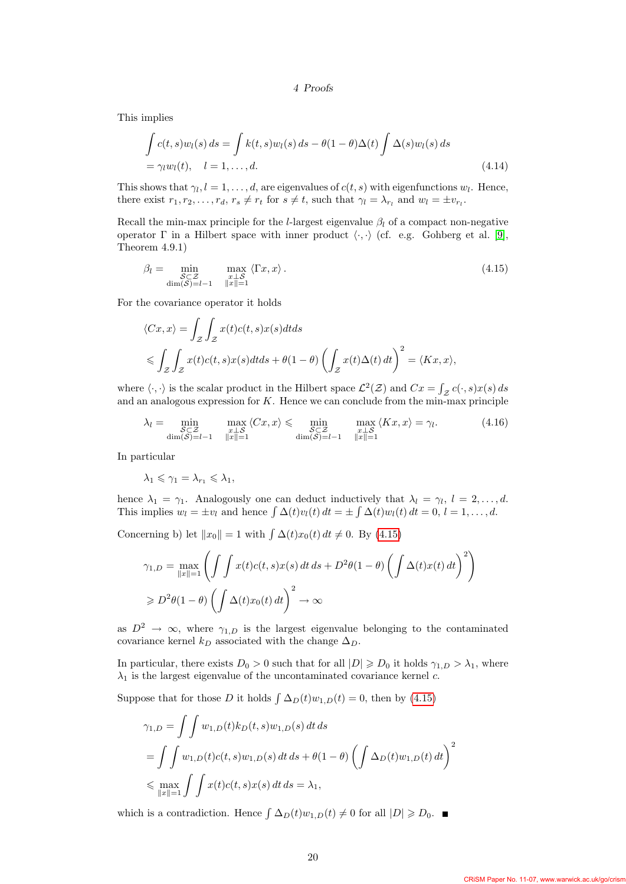This implies

$$
\int c(t,s)w_l(s) ds = \int k(t,s)w_l(s) ds - \theta(1-\theta)\Delta(t) \int \Delta(s)w_l(s) ds
$$
  
=  $\gamma_l w_l(t), \quad l = 1,..., d.$  (4.14)

This shows that  $\gamma_l, l = 1, \ldots, d$ , are eigenvalues of  $c(t, s)$  with eigenfunctions  $w_l$ . Hence, there exist  $r_1, r_2, \ldots, r_d, r_s \neq r_t$  for  $s \neq t$ , such that  $\gamma_l = \lambda_{r_l}$  and  $w_l = \pm v_{r_l}$ .

Recall the min-max principle for the *l*-largest eigenvalue  $\beta_l$  of a compact non-negative operator Γ in a Hilbert space with inner product  $\langle \cdot, \cdot \rangle$  (cf. e.g. Gohberg et al. [\[9\]](#page-21-15), Theorem 4.9.1)

<span id="page-20-0"></span>
$$
\beta_l = \min_{\substack{S \subset \mathcal{Z} \\ \dim(S) = l - 1}} \max_{\substack{x \perp S \\ ||x|| = 1}} \langle \Gamma x, x \rangle. \tag{4.15}
$$

For the covariance operator it holds

$$
\langle Cx, x \rangle = \int_{\mathcal{Z}} \int_{\mathcal{Z}} x(t)c(t, s)x(s)dtds
$$
  

$$
\leqslant \int_{\mathcal{Z}} \int_{\mathcal{Z}} x(t)c(t, s)x(s)dtds + \theta(1 - \theta) \left( \int_{\mathcal{Z}} x(t)\Delta(t) dt \right)^2 = \langle Kx, x \rangle,
$$

where  $\langle \cdot, \cdot \rangle$  is the scalar product in the Hilbert space  $\mathcal{L}^2(\mathcal{Z})$  and  $Cx = \int_{\mathcal{Z}} c(\cdot, s)x(s) ds$ and an analogous expression for  $K$ . Hence we can conclude from the min-max principle

$$
\lambda_l = \min_{\substack{S \subset \mathcal{Z} \\ \dim(S) = l - 1}} \max_{\substack{x \perp S \\ \|x\| = 1}} \langle Cx, x \rangle \leq \min_{\substack{S \subset \mathcal{Z} \\ \dim(S) = l - 1}} \max_{\substack{x \perp S \\ \|x\| = 1}} \langle Kx, x \rangle = \gamma_l. \tag{4.16}
$$

In particular

 $\lambda_1 \leqslant \gamma_1 = \lambda_{r_1} \leqslant \lambda_1$ 

hence  $\lambda_1 = \gamma_1$ . Analogously one can deduct inductively that  $\lambda_l = \gamma_l$ ,  $l = 2, \ldots, d$ . This implies  $w_l = \pm v_l$  and hence  $\int \Delta(t)v_l(t) dt = \pm \int \Delta(t)w_l(t) dt = 0, l = 1, ..., d$ .

Concerning b) let  $||x_0|| = 1$  with  $\int \Delta(t)x_0(t) dt \neq 0$ . By [\(4.15\)](#page-20-0)

$$
\gamma_{1,D} = \max_{\|x\|=1} \left( \int \int x(t)c(t,s)x(s) dt ds + D^2 \theta (1-\theta) \left( \int \Delta(t)x(t) dt \right)^2 \right)
$$
  
\n
$$
\geq D^2 \theta (1-\theta) \left( \int \Delta(t)x_0(t) dt \right)^2 \to \infty
$$

as  $D^2 \rightarrow \infty$ , where  $\gamma_{1,D}$  is the largest eigenvalue belonging to the contaminated covariance kernel  $k_D$  associated with the change  $\Delta_D$ .

In particular, there exists  $D_0 > 0$  such that for all  $|D| \geq D_0$  it holds  $\gamma_{1,D} > \lambda_1$ , where  $\lambda_1$  is the largest eigenvalue of the uncontaminated covariance kernel c.

Suppose that for those D it holds  $\int \Delta_D(t)w_{1,D}(t) = 0$ , then by [\(4.15\)](#page-20-0)

$$
\gamma_{1,D} = \iint w_{1,D}(t) k_D(t,s) w_{1,D}(s) dt ds
$$
  
= 
$$
\iint w_{1,D}(t) c(t,s) w_{1,D}(s) dt ds + \theta (1 - \theta) \left( \int \Delta_D(t) w_{1,D}(t) dt \right)^2
$$
  
\$\leq\$ max<sub>||x||=1</sub> 
$$
\iint x(t) c(t,s) x(s) dt ds = \lambda_1,
$$

which is a contradiction. Hence  $\int \Delta_D(t)w_{1,D}(t) \neq 0$  for all  $|D| \geq D_0$ .